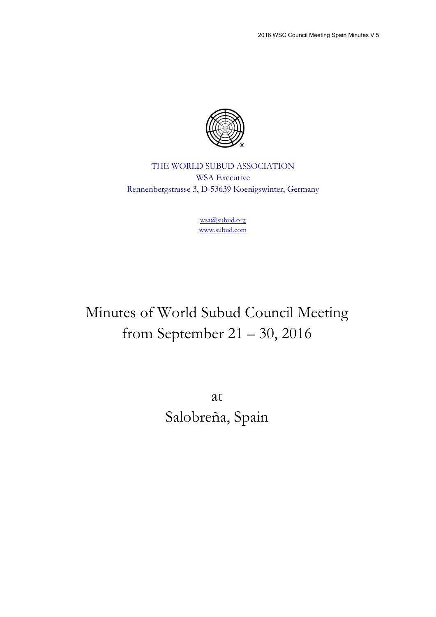

THE WORLD SUBUD ASSOCIATION WSA Executive Rennenbergstrasse 3, D-53639 Koenigswinter, Germany

> wsa@subud.org www.subud.com

# Minutes of World Subud Council Meeting from September 21 – 30, 2016

at Salobreña, Spain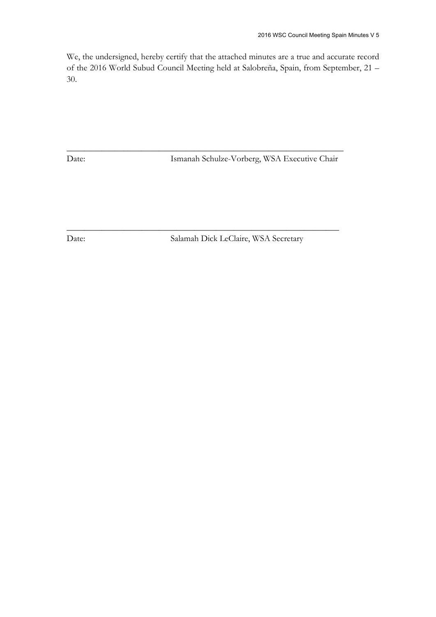We, the undersigned, hereby certify that the attached minutes are a true and accurate record of the 2016 World Subud Council Meeting held at Salobreña, Spain, from September, 21 – 30.

\_\_\_\_\_\_\_\_\_\_\_\_\_\_\_\_\_\_\_\_\_\_\_\_\_\_\_\_\_\_\_\_\_\_\_\_\_\_\_\_\_\_\_\_\_\_\_\_\_\_\_\_\_\_\_\_\_\_\_\_\_\_\_

\_\_\_\_\_\_\_\_\_\_\_\_\_\_\_\_\_\_\_\_\_\_\_\_\_\_\_\_\_\_\_\_\_\_\_\_\_\_\_\_\_\_\_\_\_\_\_\_\_\_\_\_\_\_\_\_\_\_\_\_\_\_

Date: Ismanah Schulze-Vorberg, WSA Executive Chair

Date: Salamah Dick LeClaire, WSA Secretary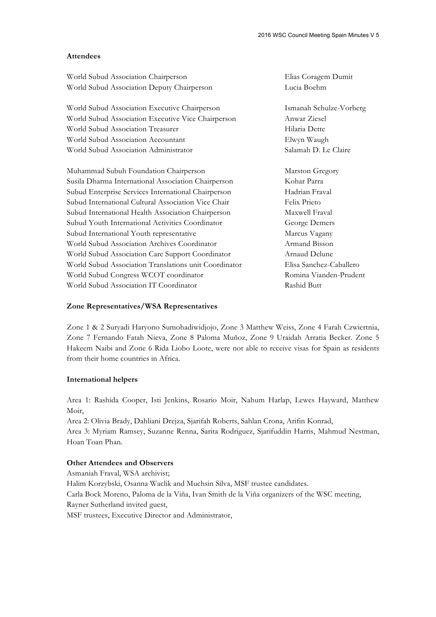#### **Attendees**

| World Subud Association Chairperson                   | Elias Coragem Dumit     |
|-------------------------------------------------------|-------------------------|
| World Subud Association Deputy Chairperson            | Lucia Boehm             |
| World Subud Association Executive Chairperson         | Ismanah Schulze-Vorberg |
| World Subud Association Executive Vice Chairperson    | Anwar Ziesel            |
| World Subud Association Treasurer                     | Hilaria Dette           |
| World Subud Association Accountant                    | Elwyn Waugh             |
| World Subud Association Administrator                 | Salamah D. Le Claire    |
| Muhammad Subuh Foundation Chairperson                 | Marston Gregory         |
| Susila Dharma International Association Chairperson   | Kohar Parra             |
| Subud Enterprise Services International Chairperson   | Hadrian Fraval          |
| Subud International Cultural Association Vice Chair   | Felix Prieto            |
| Subud International Health Association Chairperson    | Maxwell Fraval          |
| Subud Youth International Activities Coordinator      | George Demers           |
| Subud International Youth representative              | Marcus Vagany           |
| World Subud Association Archives Coordinator          | Armand Bisson           |
| World Subud Association Care Support Coordinator      | Arnaud Delune           |
| World Subud Association Translations unit Coordinator | Elisa Sanchez-Caballero |
| World Subud Congress WCOT coordinator                 | Romina Vianden-Prudent  |
| World Subud Association IT Coordinator                | Rashid Butt             |

#### **Zone Representatives/WSA Representatives**

Zone 1 & 2 Suryadi Haryono Sumohadiwidjojo, Zone 3 Matthew Weiss, Zone 4 Farah Czwiertnia, Zone 7 Fernando Fatah Nieva, Zone 8 Paloma Muñoz, Zone 9 Uraidah Arratia Becker. Zone 5 Hakeem Naibi and Zone 6 Rida Liobo Loote, were not able to receive visas for Spain as residents from their home countries in Africa.

#### **International helpers**

Area 1: Rashida Cooper, Isti Jenkins, Rosario Moir, Nahum Harlap, Lewes Hayward, Matthew Moir,

Area 2: Olivia Brady, Dahliani Drejza, Sjarifah Roberts, Sahlan Crona, Arifin Konrad,

Area 3: Myriam Ramsey, Suzanne Renna, Sarita Rodriguez, Sjarifuddin Harris, Mahmud Nestman, Hoan Toan Phan.

#### **Other Attendees and Observers**

Asmaniah Fraval, WSA archivist;

Halim Korzybski, Osanna Waclik and Muchsin Silva, MSF trustee candidates.

Carla Bock Moreno, Paloma de la Viña, Ivan Smith de la Viña organizers of the WSC meeting, Rayner Sutherland invited guest,

MSF trustees, Executive Director and Administrator,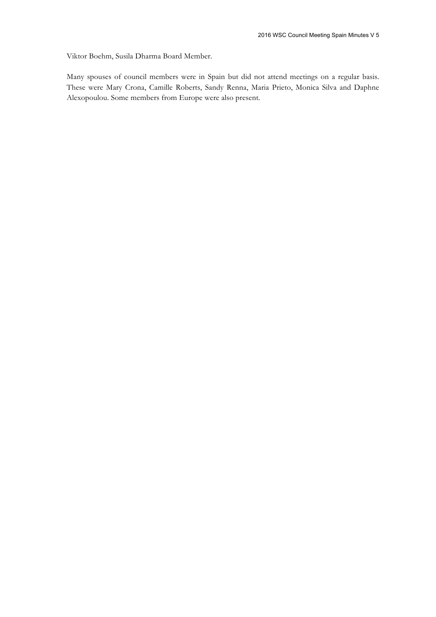Viktor Boehm, Susila Dharma Board Member.

Many spouses of council members were in Spain but did not attend meetings on a regular basis. These were Mary Crona, Camille Roberts, Sandy Renna, Maria Prieto, Monica Silva and Daphne Alexopoulou. Some members from Europe were also present.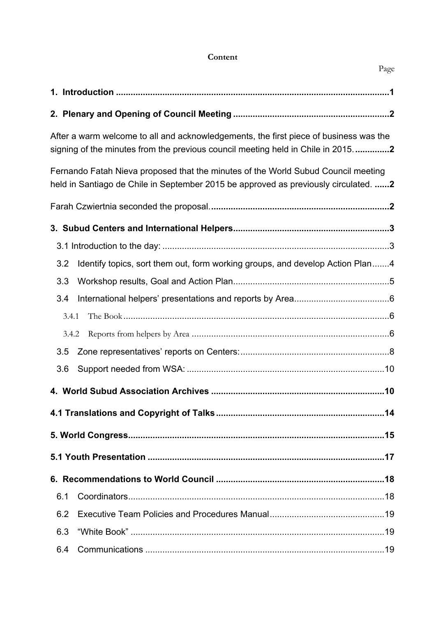# **Content**

|       | After a warm welcome to all and acknowledgements, the first piece of business was the<br>signing of the minutes from the previous council meeting held in Chile in 20152 |
|-------|--------------------------------------------------------------------------------------------------------------------------------------------------------------------------|
|       | Fernando Fatah Nieva proposed that the minutes of the World Subud Council meeting<br>held in Santiago de Chile in September 2015 be approved as previously circulated. 2 |
|       |                                                                                                                                                                          |
|       |                                                                                                                                                                          |
|       |                                                                                                                                                                          |
| 3.2   | Identify topics, sort them out, form working groups, and develop Action Plan4                                                                                            |
| 3.3   |                                                                                                                                                                          |
| 3.4   |                                                                                                                                                                          |
| 3.4.1 |                                                                                                                                                                          |
| 3.4.2 |                                                                                                                                                                          |
| 3.5   |                                                                                                                                                                          |
| 3.6   |                                                                                                                                                                          |
|       |                                                                                                                                                                          |
|       |                                                                                                                                                                          |
|       |                                                                                                                                                                          |
|       |                                                                                                                                                                          |
|       |                                                                                                                                                                          |
| 6.1   |                                                                                                                                                                          |
| 6.2   |                                                                                                                                                                          |
| 6.3   |                                                                                                                                                                          |
| 6.4   |                                                                                                                                                                          |

Page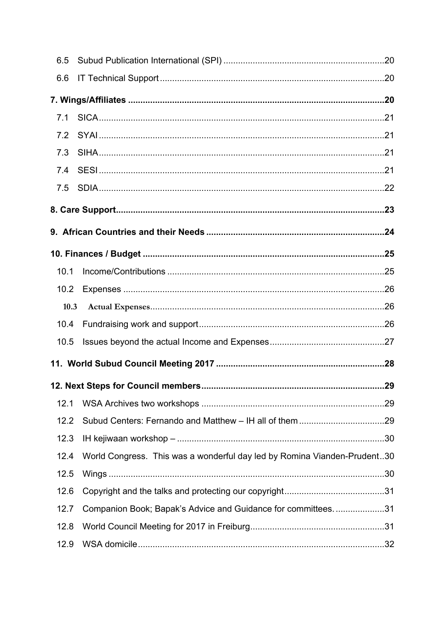| 6.5  |                                                                          |  |
|------|--------------------------------------------------------------------------|--|
| 6.6  |                                                                          |  |
|      |                                                                          |  |
| 7.1  |                                                                          |  |
| 7.2  |                                                                          |  |
| 7.3  |                                                                          |  |
| 7.4  |                                                                          |  |
| 7.5  |                                                                          |  |
|      |                                                                          |  |
|      |                                                                          |  |
|      |                                                                          |  |
| 10.1 |                                                                          |  |
| 10.2 |                                                                          |  |
| 10.3 |                                                                          |  |
| 10.4 |                                                                          |  |
| 10.5 |                                                                          |  |
|      |                                                                          |  |
|      |                                                                          |  |
| 12.1 |                                                                          |  |
| 12.2 |                                                                          |  |
| 12.3 |                                                                          |  |
| 12.4 | World Congress. This was a wonderful day led by Romina Vianden-Prudent30 |  |
| 12.5 |                                                                          |  |
| 12.6 |                                                                          |  |
| 12.7 | Companion Book; Bapak's Advice and Guidance for committees31             |  |
| 12.8 |                                                                          |  |
| 12.9 |                                                                          |  |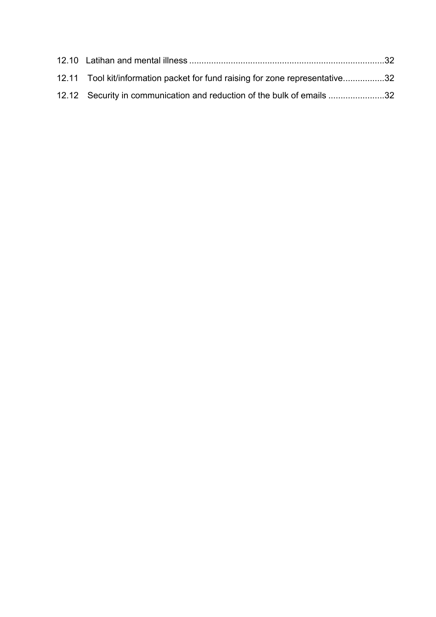| 12.11 Tool kit/information packet for fund raising for zone representative32 |  |
|------------------------------------------------------------------------------|--|
| 12.12 Security in communication and reduction of the bulk of emails 32       |  |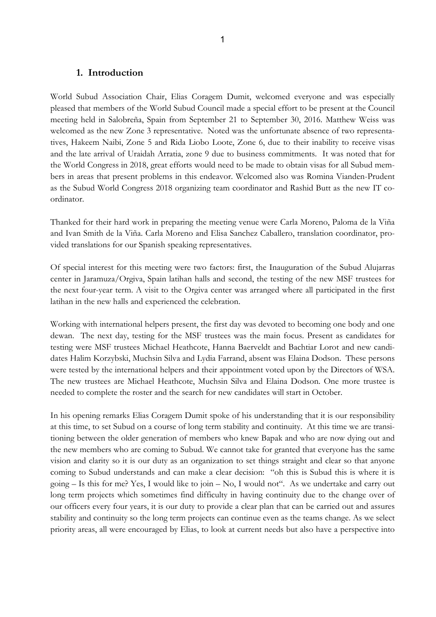#### **1. Introduction**

World Subud Association Chair, Elias Coragem Dumit, welcomed everyone and was especially pleased that members of the World Subud Council made a special effort to be present at the Council meeting held in Salobreña, Spain from September 21 to September 30, 2016. Matthew Weiss was welcomed as the new Zone 3 representative. Noted was the unfortunate absence of two representatives, Hakeem Naibi, Zone 5 and Rida Liobo Loote, Zone 6, due to their inability to receive visas and the late arrival of Uraidah Arratia, zone 9 due to business commitments. It was noted that for the World Congress in 2018, great efforts would need to be made to obtain visas for all Subud members in areas that present problems in this endeavor. Welcomed also was Romina Vianden-Prudent as the Subud World Congress 2018 organizing team coordinator and Rashid Butt as the new IT coordinator.

Thanked for their hard work in preparing the meeting venue were Carla Moreno, Paloma de la Viña and Ivan Smith de la Viña. Carla Moreno and Elisa Sanchez Caballero, translation coordinator, provided translations for our Spanish speaking representatives.

Of special interest for this meeting were two factors: first, the Inauguration of the Subud Alujarras center in Jaramuza/Orgiva, Spain latihan halls and second, the testing of the new MSF trustees for the next four-year term. A visit to the Orgiva center was arranged where all participated in the first latihan in the new halls and experienced the celebration.

Working with international helpers present, the first day was devoted to becoming one body and one dewan. The next day, testing for the MSF trustees was the main focus. Present as candidates for testing were MSF trustees Michael Heathcote, Hanna Baerveldt and Bachtiar Lorot and new candidates Halim Korzybski, Muchsin Silva and Lydia Farrand, absent was Elaina Dodson. These persons were tested by the international helpers and their appointment voted upon by the Directors of WSA. The new trustees are Michael Heathcote, Muchsin Silva and Elaina Dodson. One more trustee is needed to complete the roster and the search for new candidates will start in October.

In his opening remarks Elias Coragem Dumit spoke of his understanding that it is our responsibility at this time, to set Subud on a course of long term stability and continuity. At this time we are transitioning between the older generation of members who knew Bapak and who are now dying out and the new members who are coming to Subud. We cannot take for granted that everyone has the same vision and clarity so it is our duty as an organization to set things straight and clear so that anyone coming to Subud understands and can make a clear decision: "oh this is Subud this is where it is going – Is this for me? Yes, I would like to join – No, I would not". As we undertake and carry out long term projects which sometimes find difficulty in having continuity due to the change over of our officers every four years, it is our duty to provide a clear plan that can be carried out and assures stability and continuity so the long term projects can continue even as the teams change. As we select priority areas, all were encouraged by Elias, to look at current needs but also have a perspective into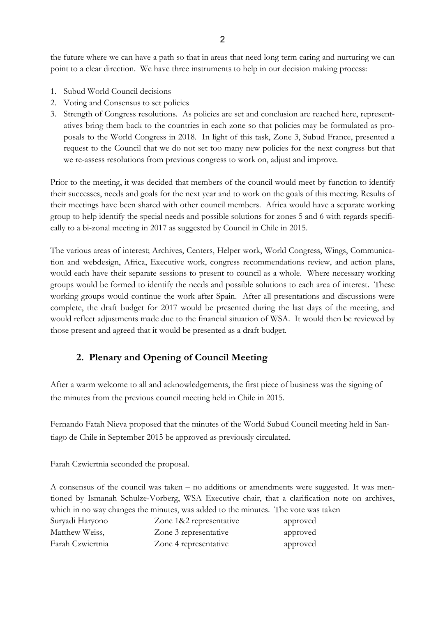the future where we can have a path so that in areas that need long term caring and nurturing we can point to a clear direction. We have three instruments to help in our decision making process:

- 1. Subud World Council decisions
- 2. Voting and Consensus to set policies
- 3. Strength of Congress resolutions. As policies are set and conclusion are reached here, representatives bring them back to the countries in each zone so that policies may be formulated as proposals to the World Congress in 2018. In light of this task, Zone 3, Subud France, presented a request to the Council that we do not set too many new policies for the next congress but that we re-assess resolutions from previous congress to work on, adjust and improve.

Prior to the meeting, it was decided that members of the council would meet by function to identify their successes, needs and goals for the next year and to work on the goals of this meeting. Results of their meetings have been shared with other council members. Africa would have a separate working group to help identify the special needs and possible solutions for zones 5 and 6 with regards specifically to a bi-zonal meeting in 2017 as suggested by Council in Chile in 2015.

The various areas of interest; Archives, Centers, Helper work, World Congress, Wings, Communication and webdesign, Africa, Executive work, congress recommendations review, and action plans, would each have their separate sessions to present to council as a whole. Where necessary working groups would be formed to identify the needs and possible solutions to each area of interest. These working groups would continue the work after Spain. After all presentations and discussions were complete, the draft budget for 2017 would be presented during the last days of the meeting, and would reflect adjustments made due to the financial situation of WSA. It would then be reviewed by those present and agreed that it would be presented as a draft budget.

# **2. Plenary and Opening of Council Meeting**

After a warm welcome to all and acknowledgements, the first piece of business was the signing of the minutes from the previous council meeting held in Chile in 2015.

Fernando Fatah Nieva proposed that the minutes of the World Subud Council meeting held in Santiago de Chile in September 2015 be approved as previously circulated.

Farah Czwiertnia seconded the proposal.

A consensus of the council was taken – no additions or amendments were suggested. It was mentioned by Ismanah Schulze-Vorberg, WSA Executive chair, that a clarification note on archives, which in no way changes the minutes, was added to the minutes. The vote was taken

| Suryadi Haryono  | Zone 1&2 representative | approved |
|------------------|-------------------------|----------|
| Matthew Weiss,   | Zone 3 representative   | approved |
| Farah Czwiertnia | Zone 4 representative   | approved |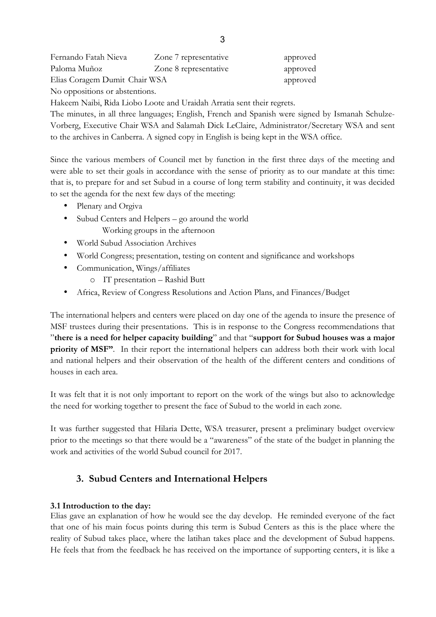| Fernando Fatah Nieva          | Zone 7 representative | approved |
|-------------------------------|-----------------------|----------|
| Paloma Muñoz                  | Zone 8 representative | approved |
| Elias Coragem Dumit Chair WSA |                       | approved |

No oppositions or abstentions.

Hakeem Naibi, Rida Liobo Loote and Uraidah Arratia sent their regrets.

The minutes, in all three languages; English, French and Spanish were signed by Ismanah Schulze-Vorberg, Executive Chair WSA and Salamah Dick LeClaire, Administrator/Secretary WSA and sent to the archives in Canberra. A signed copy in English is being kept in the WSA office.

Since the various members of Council met by function in the first three days of the meeting and were able to set their goals in accordance with the sense of priority as to our mandate at this time: that is, to prepare for and set Subud in a course of long term stability and continuity, it was decided to set the agenda for the next few days of the meeting:

- Plenary and Orgiva
- Subud Centers and Helpers go around the world Working groups in the afternoon
- World Subud Association Archives
- World Congress; presentation, testing on content and significance and workshops
- Communication, Wings/affiliates
	- o IT presentation Rashid Butt
- Africa, Review of Congress Resolutions and Action Plans, and Finances/Budget

The international helpers and centers were placed on day one of the agenda to insure the presence of MSF trustees during their presentations. This is in response to the Congress recommendations that "**there is a need for helper capacity building**" and that "**support for Subud houses was a major priority of MSF"**. In their report the international helpers can address both their work with local and national helpers and their observation of the health of the different centers and conditions of houses in each area.

It was felt that it is not only important to report on the work of the wings but also to acknowledge the need for working together to present the face of Subud to the world in each zone.

It was further suggested that Hilaria Dette, WSA treasurer, present a preliminary budget overview prior to the meetings so that there would be a "awareness" of the state of the budget in planning the work and activities of the world Subud council for 2017.

# **3. Subud Centers and International Helpers**

## **3.1 Introduction to the day:**

Elias gave an explanation of how he would see the day develop. He reminded everyone of the fact that one of his main focus points during this term is Subud Centers as this is the place where the reality of Subud takes place, where the latihan takes place and the development of Subud happens. He feels that from the feedback he has received on the importance of supporting centers, it is like a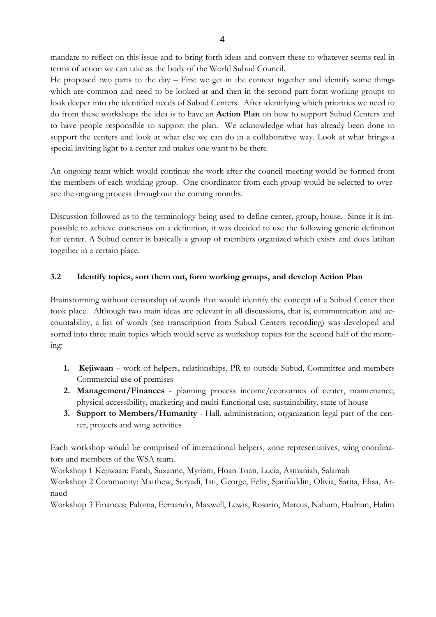mandate to reflect on this issue and to bring forth ideas and convert these to whatever seems real in terms of action we can take as the body of the World Subud Council.

He proposed two parts to the day – First we get in the context together and identify some things which are common and need to be looked at and then in the second part form working groups to look deeper into the identified needs of Subud Centers. After identifying which priorities we need to do from these workshops the idea is to have an **Action Plan** on how to support Subud Centers and to have people responsible to support the plan. We acknowledge what has already been done to support the centers and look at what else we can do in a collaborative way. Look at what brings a special inviting light to a center and makes one want to be there.

An ongoing team which would continue the work after the council meeting would be formed from the members of each working group. One coordinator from each group would be selected to oversee the ongoing process throughout the coming months.

Discussion followed as to the terminology being used to define center, group, house. Since it is impossible to achieve consensus on a definition, it was decided to use the following generic definition for center. A Subud center is basically a group of members organized which exists and does latihan together in a certain place.

# **3.2 Identify topics, sort them out, form working groups, and develop Action Plan**

Brainstorming without censorship of words that would identify the concept of a Subud Center then took place. Although two main ideas are relevant in all discussions, that is, communication and accountability, a list of words (see transcription from Subud Centers recording) was developed and sorted into three main topics which would serve as workshop topics for the second half of the morning:

- **1. Kejiwaan** work of helpers, relationships, PR to outside Subud, Committee and members Commercial use of premises
- **2. Management/Finances**  planning process income/economics of center, maintenance, physical accessibility, marketing and multi-functional use, sustainability, state of house
- **3. Support to Members/Humanity**  Hall, administration, organization legal part of the center, projects and wing activities

Each workshop would be comprised of international helpers, zone representatives, wing coordinators and members of the WSA team.

Workshop 1 Kejiwaan: Farah, Suzanne, Myriam, Hoan Toan, Lucia, Asmaniah, Salamah

Workshop 2 Community: Matthew, Suryadi, Isti, George, Felix, Sjarifuddin, Olivia, Sarita, Elisa, Arnaud

Workshop 3 Finances: Paloma, Fernando, Maxwell, Lewis, Rosario, Marcus, Nahum, Hadrian, Halim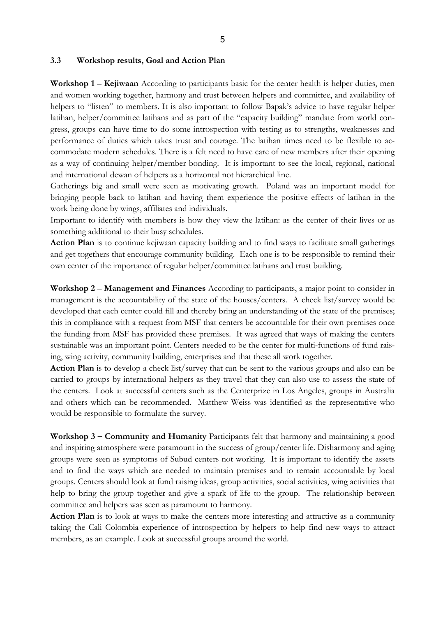#### 5

#### **3.3 Workshop results, Goal and Action Plan**

**Workshop 1** – **Kejiwaan** According to participants basic for the center health is helper duties, men and women working together, harmony and trust between helpers and committee, and availability of helpers to "listen" to members. It is also important to follow Bapak's advice to have regular helper latihan, helper/committee latihans and as part of the "capacity building" mandate from world congress, groups can have time to do some introspection with testing as to strengths, weaknesses and performance of duties which takes trust and courage. The latihan times need to be flexible to accommodate modern schedules. There is a felt need to have care of new members after their opening as a way of continuing helper/member bonding. It is important to see the local, regional, national and international dewan of helpers as a horizontal not hierarchical line.

Gatherings big and small were seen as motivating growth. Poland was an important model for bringing people back to latihan and having them experience the positive effects of latihan in the work being done by wings, affiliates and individuals.

Important to identify with members is how they view the latihan: as the center of their lives or as something additional to their busy schedules.

**Action Plan** is to continue kejiwaan capacity building and to find ways to facilitate small gatherings and get togethers that encourage community building. Each one is to be responsible to remind their own center of the importance of regular helper/committee latihans and trust building.

**Workshop 2** – **Management and Finances** According to participants, a major point to consider in management is the accountability of the state of the houses/centers. A check list/survey would be developed that each center could fill and thereby bring an understanding of the state of the premises; this in compliance with a request from MSF that centers be accountable for their own premises once the funding from MSF has provided these premises. It was agreed that ways of making the centers sustainable was an important point. Centers needed to be the center for multi-functions of fund raising, wing activity, community building, enterprises and that these all work together.

**Action Plan** is to develop a check list/survey that can be sent to the various groups and also can be carried to groups by international helpers as they travel that they can also use to assess the state of the centers. Look at successful centers such as the Centerprize in Los Angeles, groups in Australia and others which can be recommended. Matthew Weiss was identified as the representative who would be responsible to formulate the survey.

**Workshop 3 – Community and Humanity** Participants felt that harmony and maintaining a good and inspiring atmosphere were paramount in the success of group/center life. Disharmony and aging groups were seen as symptoms of Subud centers not working. It is important to identify the assets and to find the ways which are needed to maintain premises and to remain accountable by local groups. Centers should look at fund raising ideas, group activities, social activities, wing activities that help to bring the group together and give a spark of life to the group. The relationship between committee and helpers was seen as paramount to harmony.

**Action Plan** is to look at ways to make the centers more interesting and attractive as a community taking the Cali Colombia experience of introspection by helpers to help find new ways to attract members, as an example. Look at successful groups around the world.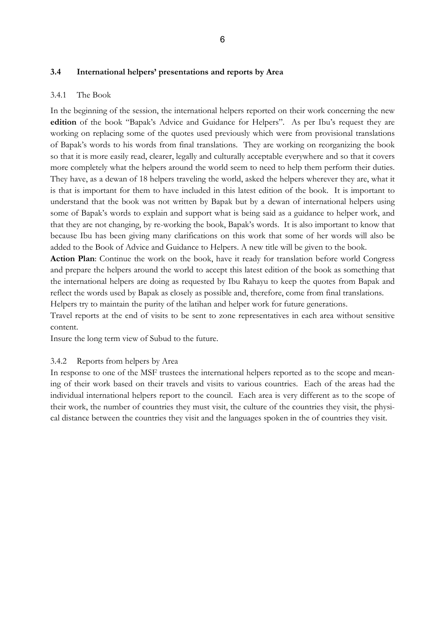## **3.4 International helpers' presentations and reports by Area**

#### 3.4.1 The Book

In the beginning of the session, the international helpers reported on their work concerning the new **edition** of the book "Bapak's Advice and Guidance for Helpers". As per Ibu's request they are working on replacing some of the quotes used previously which were from provisional translations of Bapak's words to his words from final translations. They are working on reorganizing the book so that it is more easily read, clearer, legally and culturally acceptable everywhere and so that it covers more completely what the helpers around the world seem to need to help them perform their duties. They have, as a dewan of 18 helpers traveling the world, asked the helpers wherever they are, what it is that is important for them to have included in this latest edition of the book. It is important to understand that the book was not written by Bapak but by a dewan of international helpers using some of Bapak's words to explain and support what is being said as a guidance to helper work, and that they are not changing, by re-working the book, Bapak's words. It is also important to know that because Ibu has been giving many clarifications on this work that some of her words will also be added to the Book of Advice and Guidance to Helpers. A new title will be given to the book.

**Action Plan**: Continue the work on the book, have it ready for translation before world Congress and prepare the helpers around the world to accept this latest edition of the book as something that the international helpers are doing as requested by Ibu Rahayu to keep the quotes from Bapak and reflect the words used by Bapak as closely as possible and, therefore, come from final translations. Helpers try to maintain the purity of the latihan and helper work for future generations.

Travel reports at the end of visits to be sent to zone representatives in each area without sensitive content.

Insure the long term view of Subud to the future.

## 3.4.2 Reports from helpers by Area

In response to one of the MSF trustees the international helpers reported as to the scope and meaning of their work based on their travels and visits to various countries. Each of the areas had the individual international helpers report to the council. Each area is very different as to the scope of their work, the number of countries they must visit, the culture of the countries they visit, the physical distance between the countries they visit and the languages spoken in the of countries they visit.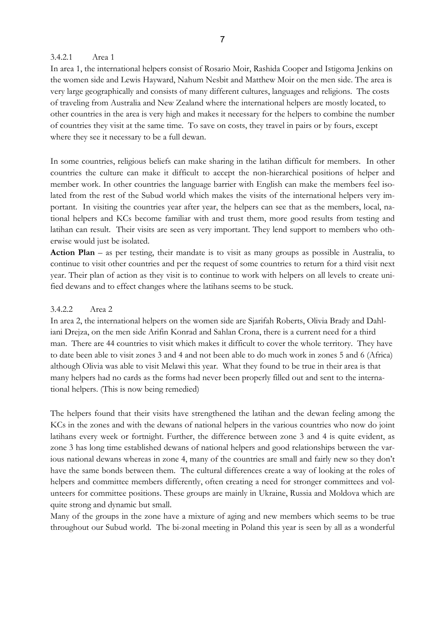### 3.4.2.1 Area 1

In area 1, the international helpers consist of Rosario Moir, Rashida Cooper and Istigoma Jenkins on the women side and Lewis Hayward, Nahum Nesbit and Matthew Moir on the men side. The area is very large geographically and consists of many different cultures, languages and religions. The costs of traveling from Australia and New Zealand where the international helpers are mostly located, to other countries in the area is very high and makes it necessary for the helpers to combine the number of countries they visit at the same time. To save on costs, they travel in pairs or by fours, except where they see it necessary to be a full dewan.

In some countries, religious beliefs can make sharing in the latihan difficult for members. In other countries the culture can make it difficult to accept the non-hierarchical positions of helper and member work. In other countries the language barrier with English can make the members feel isolated from the rest of the Subud world which makes the visits of the international helpers very important. In visiting the countries year after year, the helpers can see that as the members, local, national helpers and KCs become familiar with and trust them, more good results from testing and latihan can result. Their visits are seen as very important. They lend support to members who otherwise would just be isolated.

**Action Plan** – as per testing, their mandate is to visit as many groups as possible in Australia, to continue to visit other countries and per the request of some countries to return for a third visit next year. Their plan of action as they visit is to continue to work with helpers on all levels to create unified dewans and to effect changes where the latihans seems to be stuck.

## 3.4.2.2 Area 2

In area 2, the international helpers on the women side are Sjarifah Roberts, Olivia Brady and Dahliani Drejza, on the men side Arifin Konrad and Sahlan Crona, there is a current need for a third man. There are 44 countries to visit which makes it difficult to cover the whole territory. They have to date been able to visit zones 3 and 4 and not been able to do much work in zones 5 and 6 (Africa) although Olivia was able to visit Melawi this year. What they found to be true in their area is that many helpers had no cards as the forms had never been properly filled out and sent to the international helpers. (This is now being remedied)

The helpers found that their visits have strengthened the latihan and the dewan feeling among the KCs in the zones and with the dewans of national helpers in the various countries who now do joint latihans every week or fortnight. Further, the difference between zone 3 and 4 is quite evident, as zone 3 has long time established dewans of national helpers and good relationships between the various national dewans whereas in zone 4, many of the countries are small and fairly new so they don't have the same bonds between them. The cultural differences create a way of looking at the roles of helpers and committee members differently, often creating a need for stronger committees and volunteers for committee positions. These groups are mainly in Ukraine, Russia and Moldova which are quite strong and dynamic but small.

Many of the groups in the zone have a mixture of aging and new members which seems to be true throughout our Subud world. The bi-zonal meeting in Poland this year is seen by all as a wonderful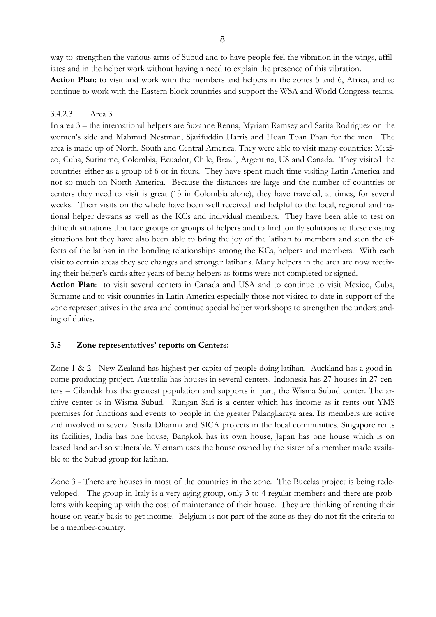way to strengthen the various arms of Subud and to have people feel the vibration in the wings, affiliates and in the helper work without having a need to explain the presence of this vibration.

**Action Plan**: to visit and work with the members and helpers in the zones 5 and 6, Africa, and to continue to work with the Eastern block countries and support the WSA and World Congress teams.

## 3.4.2.3 Area 3

In area 3 – the international helpers are Suzanne Renna, Myriam Ramsey and Sarita Rodriguez on the women's side and Mahmud Nestman, Sjarifuddin Harris and Hoan Toan Phan for the men. The area is made up of North, South and Central America. They were able to visit many countries: Mexico, Cuba, Suriname, Colombia, Ecuador, Chile, Brazil, Argentina, US and Canada. They visited the countries either as a group of 6 or in fours. They have spent much time visiting Latin America and not so much on North America. Because the distances are large and the number of countries or centers they need to visit is great (13 in Colombia alone), they have traveled, at times, for several weeks. Their visits on the whole have been well received and helpful to the local, regional and national helper dewans as well as the KCs and individual members. They have been able to test on difficult situations that face groups or groups of helpers and to find jointly solutions to these existing situations but they have also been able to bring the joy of the latihan to members and seen the effects of the latihan in the bonding relationships among the KCs, helpers and members. With each visit to certain areas they see changes and stronger latihans. Many helpers in the area are now receiving their helper's cards after years of being helpers as forms were not completed or signed.

**Action Plan**: to visit several centers in Canada and USA and to continue to visit Mexico, Cuba, Surname and to visit countries in Latin America especially those not visited to date in support of the zone representatives in the area and continue special helper workshops to strengthen the understanding of duties.

## **3.5 Zone representatives' reports on Centers:**

Zone 1 & 2 - New Zealand has highest per capita of people doing latihan. Auckland has a good income producing project. Australia has houses in several centers. Indonesia has 27 houses in 27 centers – Cilandak has the greatest population and supports in part, the Wisma Subud center. The archive center is in Wisma Subud. Rungan Sari is a center which has income as it rents out YMS premises for functions and events to people in the greater Palangkaraya area. Its members are active and involved in several Susila Dharma and SICA projects in the local communities. Singapore rents its facilities, India has one house, Bangkok has its own house, Japan has one house which is on leased land and so vulnerable. Vietnam uses the house owned by the sister of a member made available to the Subud group for latihan.

Zone 3 - There are houses in most of the countries in the zone. The Bucelas project is being redeveloped. The group in Italy is a very aging group, only 3 to 4 regular members and there are problems with keeping up with the cost of maintenance of their house. They are thinking of renting their house on yearly basis to get income. Belgium is not part of the zone as they do not fit the criteria to be a member-country.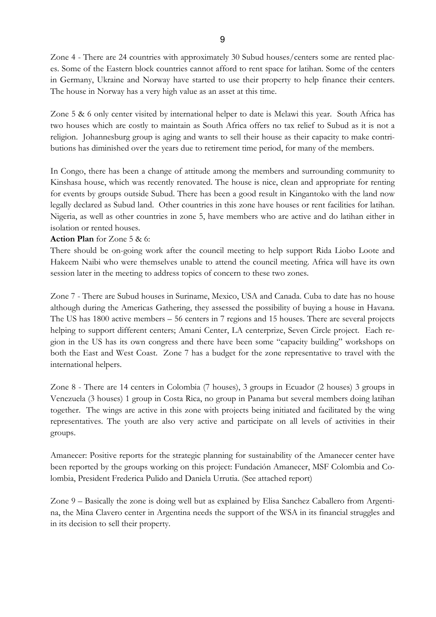Zone 4 - There are 24 countries with approximately 30 Subud houses/centers some are rented places. Some of the Eastern block countries cannot afford to rent space for latihan. Some of the centers in Germany, Ukraine and Norway have started to use their property to help finance their centers. The house in Norway has a very high value as an asset at this time.

Zone 5 & 6 only center visited by international helper to date is Melawi this year. South Africa has two houses which are costly to maintain as South Africa offers no tax relief to Subud as it is not a religion. Johannesburg group is aging and wants to sell their house as their capacity to make contributions has diminished over the years due to retirement time period, for many of the members.

In Congo, there has been a change of attitude among the members and surrounding community to Kinshasa house, which was recently renovated. The house is nice, clean and appropriate for renting for events by groups outside Subud. There has been a good result in Kingantoko with the land now legally declared as Subud land. Other countries in this zone have houses or rent facilities for latihan. Nigeria, as well as other countries in zone 5, have members who are active and do latihan either in isolation or rented houses.

#### **Action Plan** for Zone 5 & 6:

There should be on-going work after the council meeting to help support Rida Liobo Loote and Hakeem Naibi who were themselves unable to attend the council meeting. Africa will have its own session later in the meeting to address topics of concern to these two zones.

Zone 7 - There are Subud houses in Suriname, Mexico, USA and Canada. Cuba to date has no house although during the Americas Gathering, they assessed the possibility of buying a house in Havana. The US has 1800 active members – 56 centers in 7 regions and 15 houses. There are several projects helping to support different centers; Amani Center, LA centerprize, Seven Circle project. Each region in the US has its own congress and there have been some "capacity building" workshops on both the East and West Coast. Zone 7 has a budget for the zone representative to travel with the international helpers.

Zone 8 - There are 14 centers in Colombia (7 houses), 3 groups in Ecuador (2 houses) 3 groups in Venezuela (3 houses) 1 group in Costa Rica, no group in Panama but several members doing latihan together. The wings are active in this zone with projects being initiated and facilitated by the wing representatives. The youth are also very active and participate on all levels of activities in their groups.

Amanecer: Positive reports for the strategic planning for sustainability of the Amanecer center have been reported by the groups working on this project: Fundación Amanecer, MSF Colombia and Colombia, President Frederica Pulido and Daniela Urrutia. (See attached report)

Zone 9 – Basically the zone is doing well but as explained by Elisa Sanchez Caballero from Argentina, the Mina Clavero center in Argentina needs the support of the WSA in its financial struggles and in its decision to sell their property.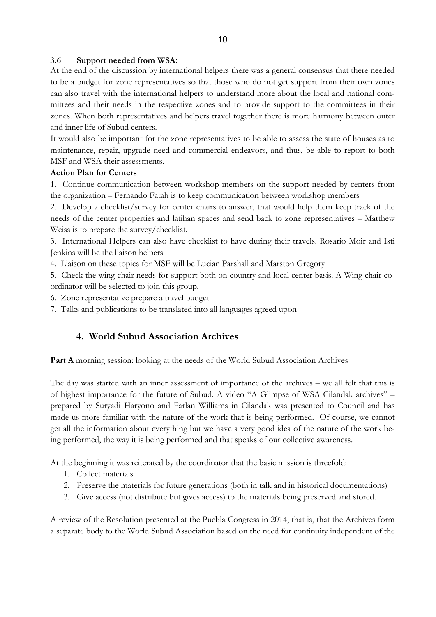## **3.6 Support needed from WSA:**

At the end of the discussion by international helpers there was a general consensus that there needed to be a budget for zone representatives so that those who do not get support from their own zones can also travel with the international helpers to understand more about the local and national committees and their needs in the respective zones and to provide support to the committees in their zones. When both representatives and helpers travel together there is more harmony between outer and inner life of Subud centers.

It would also be important for the zone representatives to be able to assess the state of houses as to maintenance, repair, upgrade need and commercial endeavors, and thus, be able to report to both MSF and WSA their assessments.

#### **Action Plan for Centers**

1. Continue communication between workshop members on the support needed by centers from the organization – Fernando Fatah is to keep communication between workshop members

2. Develop a checklist/survey for center chairs to answer, that would help them keep track of the needs of the center properties and latihan spaces and send back to zone representatives – Matthew Weiss is to prepare the survey/checklist.

3. International Helpers can also have checklist to have during their travels. Rosario Moir and Isti Jenkins will be the liaison helpers

4. Liaison on these topics for MSF will be Lucian Parshall and Marston Gregory

5. Check the wing chair needs for support both on country and local center basis. A Wing chair coordinator will be selected to join this group.

6. Zone representative prepare a travel budget

7. Talks and publications to be translated into all languages agreed upon

# **4. World Subud Association Archives**

**Part A** morning session: looking at the needs of the World Subud Association Archives

The day was started with an inner assessment of importance of the archives – we all felt that this is of highest importance for the future of Subud. A video "A Glimpse of WSA Cilandak archives" – prepared by Suryadi Haryono and Farlan Williams in Cilandak was presented to Council and has made us more familiar with the nature of the work that is being performed. Of course, we cannot get all the information about everything but we have a very good idea of the nature of the work being performed, the way it is being performed and that speaks of our collective awareness.

At the beginning it was reiterated by the coordinator that the basic mission is threefold:

- 1. Collect materials
- 2. Preserve the materials for future generations (both in talk and in historical documentations)
- 3. Give access (not distribute but gives access) to the materials being preserved and stored.

A review of the Resolution presented at the Puebla Congress in 2014, that is, that the Archives form a separate body to the World Subud Association based on the need for continuity independent of the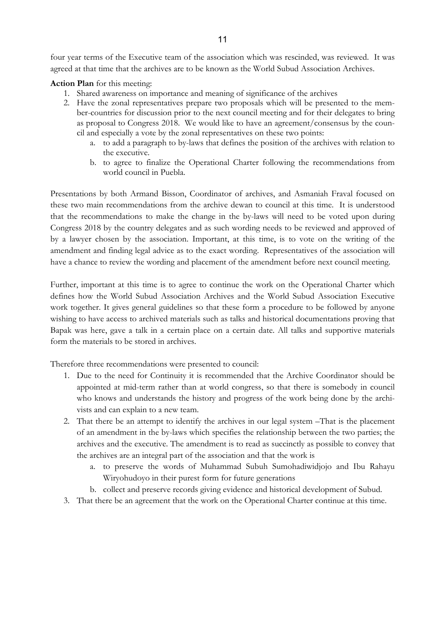four year terms of the Executive team of the association which was rescinded, was reviewed. It was agreed at that time that the archives are to be known as the World Subud Association Archives.

**Action Plan** for this meeting:

- 1. Shared awareness on importance and meaning of significance of the archives
- 2. Have the zonal representatives prepare two proposals which will be presented to the member-countries for discussion prior to the next council meeting and for their delegates to bring as proposal to Congress 2018. We would like to have an agreement/consensus by the council and especially a vote by the zonal representatives on these two points:
	- a. to add a paragraph to by-laws that defines the position of the archives with relation to the executive.
	- b. to agree to finalize the Operational Charter following the recommendations from world council in Puebla.

Presentations by both Armand Bisson, Coordinator of archives, and Asmaniah Fraval focused on these two main recommendations from the archive dewan to council at this time. It is understood that the recommendations to make the change in the by-laws will need to be voted upon during Congress 2018 by the country delegates and as such wording needs to be reviewed and approved of by a lawyer chosen by the association. Important, at this time, is to vote on the writing of the amendment and finding legal advice as to the exact wording. Representatives of the association will have a chance to review the wording and placement of the amendment before next council meeting.

Further, important at this time is to agree to continue the work on the Operational Charter which defines how the World Subud Association Archives and the World Subud Association Executive work together. It gives general guidelines so that these form a procedure to be followed by anyone wishing to have access to archived materials such as talks and historical documentations proving that Bapak was here, gave a talk in a certain place on a certain date. All talks and supportive materials form the materials to be stored in archives.

Therefore three recommendations were presented to council:

- 1. Due to the need for Continuity it is recommended that the Archive Coordinator should be appointed at mid-term rather than at world congress, so that there is somebody in council who knows and understands the history and progress of the work being done by the archivists and can explain to a new team.
- 2. That there be an attempt to identify the archives in our legal system –That is the placement of an amendment in the by-laws which specifies the relationship between the two parties; the archives and the executive. The amendment is to read as succinctly as possible to convey that the archives are an integral part of the association and that the work is
	- a. to preserve the words of Muhammad Subuh Sumohadiwidjojo and Ibu Rahayu Wiryohudoyo in their purest form for future generations
	- b. collect and preserve records giving evidence and historical development of Subud.
- 3. That there be an agreement that the work on the Operational Charter continue at this time.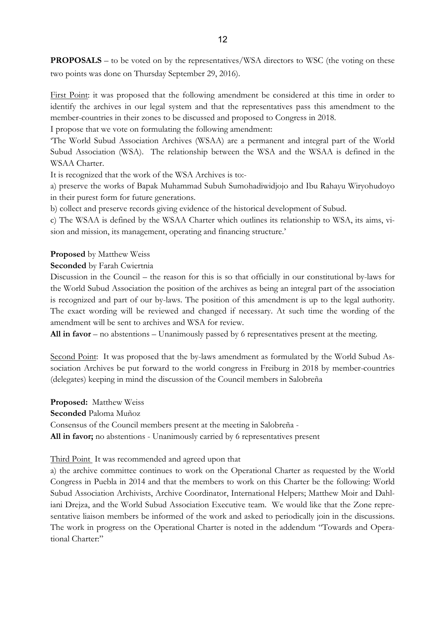**PROPOSALS** – to be voted on by the representatives/WSA directors to WSC (the voting on these two points was done on Thursday September 29, 2016).

First Point: it was proposed that the following amendment be considered at this time in order to identify the archives in our legal system and that the representatives pass this amendment to the member-countries in their zones to be discussed and proposed to Congress in 2018.

I propose that we vote on formulating the following amendment:

'The World Subud Association Archives (WSAA) are a permanent and integral part of the World Subud Association (WSA). The relationship between the WSA and the WSAA is defined in the WSAA Charter.

It is recognized that the work of the WSA Archives is to:-

a) preserve the works of Bapak Muhammad Subuh Sumohadiwidjojo and Ibu Rahayu Wiryohudoyo in their purest form for future generations.

b) collect and preserve records giving evidence of the historical development of Subud.

c) The WSAA is defined by the WSAA Charter which outlines its relationship to WSA, its aims, vision and mission, its management, operating and financing structure.'

## **Proposed** by Matthew Weiss

## **Seconded** by Farah Cwiertnia

Discussion in the Council – the reason for this is so that officially in our constitutional by-laws for the World Subud Association the position of the archives as being an integral part of the association is recognized and part of our by-laws. The position of this amendment is up to the legal authority. The exact wording will be reviewed and changed if necessary. At such time the wording of the amendment will be sent to archives and WSA for review.

**All in favor** – no abstentions – Unanimously passed by 6 representatives present at the meeting.

Second Point: It was proposed that the by-laws amendment as formulated by the World Subud Association Archives be put forward to the world congress in Freiburg in 2018 by member-countries (delegates) keeping in mind the discussion of the Council members in Salobreña

**Proposed:** Matthew Weiss **Seconded** Paloma Muñoz Consensus of the Council members present at the meeting in Salobreña - **All in favor;** no abstentions - Unanimously carried by 6 representatives present

## Third Point. It was recommended and agreed upon that

a) the archive committee continues to work on the Operational Charter as requested by the World Congress in Puebla in 2014 and that the members to work on this Charter be the following: World Subud Association Archivists, Archive Coordinator, International Helpers; Matthew Moir and Dahliani Drejza, and the World Subud Association Executive team. We would like that the Zone representative liaison members be informed of the work and asked to periodically join in the discussions. The work in progress on the Operational Charter is noted in the addendum "Towards and Operational Charter:"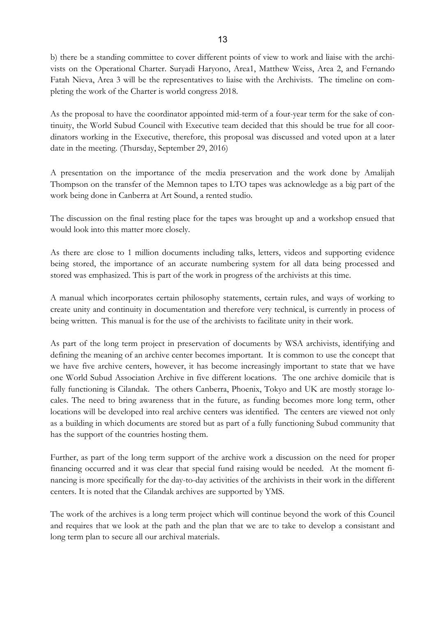b) there be a standing committee to cover different points of view to work and liaise with the archivists on the Operational Charter. Suryadi Haryono, Area1, Matthew Weiss, Area 2, and Fernando Fatah Nieva, Area 3 will be the representatives to liaise with the Archivists. The timeline on completing the work of the Charter is world congress 2018.

As the proposal to have the coordinator appointed mid-term of a four-year term for the sake of continuity, the World Subud Council with Executive team decided that this should be true for all coordinators working in the Executive, therefore, this proposal was discussed and voted upon at a later date in the meeting. (Thursday, September 29, 2016)

A presentation on the importance of the media preservation and the work done by Amalijah Thompson on the transfer of the Memnon tapes to LTO tapes was acknowledge as a big part of the work being done in Canberra at Art Sound, a rented studio.

The discussion on the final resting place for the tapes was brought up and a workshop ensued that would look into this matter more closely.

As there are close to 1 million documents including talks, letters, videos and supporting evidence being stored, the importance of an accurate numbering system for all data being processed and stored was emphasized. This is part of the work in progress of the archivists at this time.

A manual which incorporates certain philosophy statements, certain rules, and ways of working to create unity and continuity in documentation and therefore very technical, is currently in process of being written. This manual is for the use of the archivists to facilitate unity in their work.

As part of the long term project in preservation of documents by WSA archivists, identifying and defining the meaning of an archive center becomes important. It is common to use the concept that we have five archive centers, however, it has become increasingly important to state that we have one World Subud Association Archive in five different locations. The one archive domicile that is fully functioning is Cilandak. The others Canberra, Phoenix, Tokyo and UK are mostly storage locales. The need to bring awareness that in the future, as funding becomes more long term, other locations will be developed into real archive centers was identified. The centers are viewed not only as a building in which documents are stored but as part of a fully functioning Subud community that has the support of the countries hosting them.

Further, as part of the long term support of the archive work a discussion on the need for proper financing occurred and it was clear that special fund raising would be needed. At the moment financing is more specifically for the day-to-day activities of the archivists in their work in the different centers. It is noted that the Cilandak archives are supported by YMS.

The work of the archives is a long term project which will continue beyond the work of this Council and requires that we look at the path and the plan that we are to take to develop a consistant and long term plan to secure all our archival materials.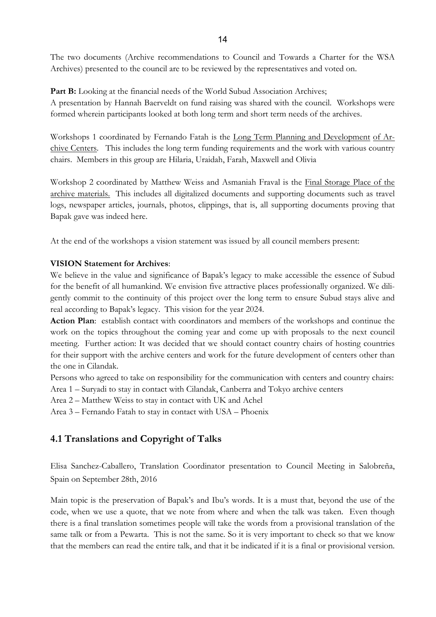The two documents (Archive recommendations to Council and Towards a Charter for the WSA Archives) presented to the council are to be reviewed by the representatives and voted on.

Part B: Looking at the financial needs of the World Subud Association Archives; A presentation by Hannah Baerveldt on fund raising was shared with the council. Workshops were formed wherein participants looked at both long term and short term needs of the archives.

Workshops 1 coordinated by Fernando Fatah is the Long Term Planning and Development of Archive Centers. This includes the long term funding requirements and the work with various country chairs. Members in this group are Hilaria, Uraidah, Farah, Maxwell and Olivia

Workshop 2 coordinated by Matthew Weiss and Asmaniah Fraval is the Final Storage Place of the archive materials. This includes all digitalized documents and supporting documents such as travel logs, newspaper articles, journals, photos, clippings, that is, all supporting documents proving that Bapak gave was indeed here.

At the end of the workshops a vision statement was issued by all council members present:

## **VISION Statement for Archives**:

We believe in the value and significance of Bapak's legacy to make accessible the essence of Subud for the benefit of all humankind. We envision five attractive places professionally organized. We diligently commit to the continuity of this project over the long term to ensure Subud stays alive and real according to Bapak's legacy. This vision for the year 2024.

**Action Plan**: establish contact with coordinators and members of the workshops and continue the work on the topics throughout the coming year and come up with proposals to the next council meeting. Further action: It was decided that we should contact country chairs of hosting countries for their support with the archive centers and work for the future development of centers other than the one in Cilandak.

Persons who agreed to take on responsibility for the communication with centers and country chairs:

Area 1 – Suryadi to stay in contact with Cilandak, Canberra and Tokyo archive centers

Area 2 – Matthew Weiss to stay in contact with UK and Achel

Area 3 – Fernando Fatah to stay in contact with USA – Phoenix

# **4.1 Translations and Copyright of Talks**

Elisa Sanchez-Caballero, Translation Coordinator presentation to Council Meeting in Salobreña, Spain on September 28th, 2016

Main topic is the preservation of Bapak's and Ibu's words. It is a must that, beyond the use of the code, when we use a quote, that we note from where and when the talk was taken. Even though there is a final translation sometimes people will take the words from a provisional translation of the same talk or from a Pewarta. This is not the same. So it is very important to check so that we know that the members can read the entire talk, and that it be indicated if it is a final or provisional version.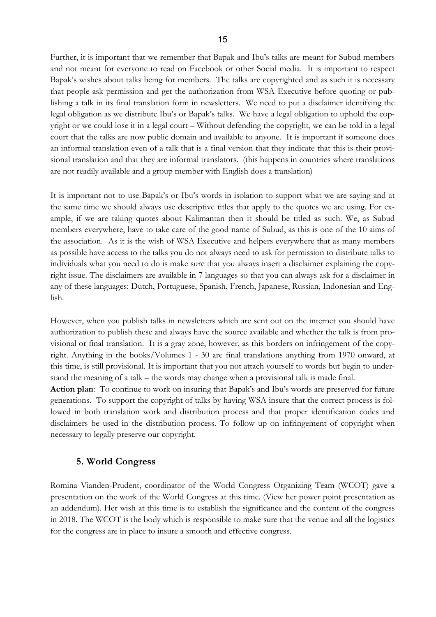Further, it is important that we remember that Bapak and Ibu's talks are meant for Subud members and not meant for everyone to read on Facebook or other Social media. It is important to respect Bapak's wishes about talks being for members. The talks are copyrighted and as such it is necessary that people ask permission and get the authorization from WSA Executive before quoting or publishing a talk in its final translation form in newsletters. We need to put a disclaimer identifying the legal obligation as we distribute Ibu's or Bapak's talks. We have a legal obligation to uphold the copyright or we could lose it in a legal court – Without defending the copyright, we can be told in a legal court that the talks are now public domain and available to anyone. It is important if someone does an informal translation even of a talk that is a final version that they indicate that this is their provisional translation and that they are informal translators. (this happens in countries where translations are not readily available and a group member with English does a translation)

It is important not to use Bapak's or Ibu's words in isolation to support what we are saying and at the same time we should always use descriptive titles that apply to the quotes we are using. For example, if we are taking quotes about Kalimantan then it should be titled as such. We, as Subud members everywhere, have to take care of the good name of Subud, as this is one of the 10 aims of the association. As it is the wish of WSA Executive and helpers everywhere that as many members as possible have access to the talks you do not always need to ask for permission to distribute talks to individuals what you need to do is make sure that you always insert a disclaimer explaining the copyright issue. The disclaimers are available in 7 languages so that you can always ask for a disclaimer in any of these languages: Dutch, Portuguese, Spanish, French, Japanese, Russian, Indonesian and English.

However, when you publish talks in newsletters which are sent out on the internet you should have authorization to publish these and always have the source available and whether the talk is from provisional or final translation. It is a gray zone, however, as this borders on infringement of the copyright. Anything in the books/Volumes 1 - 30 are final translations anything from 1970 onward, at this time, is still provisional. It is important that you not attach yourself to words but begin to understand the meaning of a talk – the words may change when a provisional talk is made final.

**Action plan**: To continue to work on insuring that Bapak's and Ibu's words are preserved for future generations. To support the copyright of talks by having WSA insure that the correct process is followed in both translation work and distribution process and that proper identification codes and disclaimers be used in the distribution process. To follow up on infringement of copyright when necessary to legally preserve our copyright.

# **5. World Congress**

Romina Vianden-Prudent, coordinator of the World Congress Organizing Team (WCOT) gave a presentation on the work of the World Congress at this time. (View her power point presentation as an addendum). Her wish at this time is to establish the significance and the content of the congress in 2018. The WCOT is the body which is responsible to make sure that the venue and all the logistics for the congress are in place to insure a smooth and effective congress.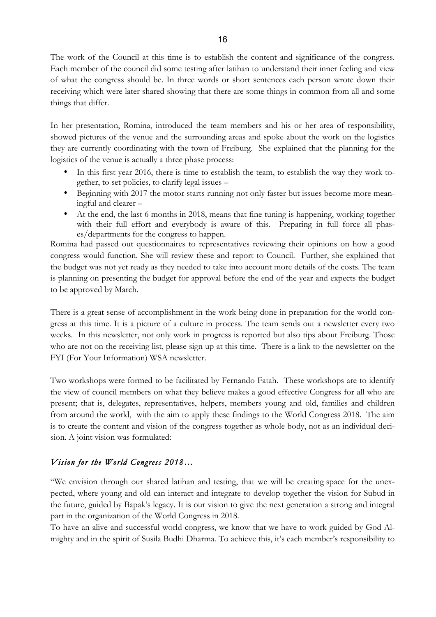The work of the Council at this time is to establish the content and significance of the congress. Each member of the council did some testing after latihan to understand their inner feeling and view of what the congress should be. In three words or short sentences each person wrote down their receiving which were later shared showing that there are some things in common from all and some things that differ.

In her presentation, Romina, introduced the team members and his or her area of responsibility, showed pictures of the venue and the surrounding areas and spoke about the work on the logistics they are currently coordinating with the town of Freiburg. She explained that the planning for the logistics of the venue is actually a three phase process:

- In this first year 2016, there is time to establish the team, to establish the way they work together, to set policies, to clarify legal issues –
- Beginning with 2017 the motor starts running not only faster but issues become more meaningful and clearer –
- At the end, the last 6 months in 2018, means that fine tuning is happening, working together with their full effort and everybody is aware of this. Preparing in full force all phases/departments for the congress to happen.

Romina had passed out questionnaires to representatives reviewing their opinions on how a good congress would function. She will review these and report to Council. Further, she explained that the budget was not yet ready as they needed to take into account more details of the costs. The team is planning on presenting the budget for approval before the end of the year and expects the budget to be approved by March.

There is a great sense of accomplishment in the work being done in preparation for the world congress at this time. It is a picture of a culture in process. The team sends out a newsletter every two weeks. In this newsletter, not only work in progress is reported but also tips about Freiburg. Those who are not on the receiving list, please sign up at this time. There is a link to the newsletter on the FYI (For Your Information) WSA newsletter.

Two workshops were formed to be facilitated by Fernando Fatah. These workshops are to identify the view of council members on what they believe makes a good effective Congress for all who are present; that is, delegates, representatives, helpers, members young and old, families and children from around the world, with the aim to apply these findings to the World Congress 2018. The aim is to create the content and vision of the congress together as whole body, not as an individual decision. A joint vision was formulated:

# *Vision for the World Congress 2018…*

"We envision through our shared latihan and testing, that we will be creating space for the unexpected, where young and old can interact and integrate to develop together the vision for Subud in the future, guided by Bapak's legacy. It is our vision to give the next generation a strong and integral part in the organization of the World Congress in 2018.

To have an alive and successful world congress, we know that we have to work guided by God Almighty and in the spirit of Susila Budhi Dharma. To achieve this, it's each member's responsibility to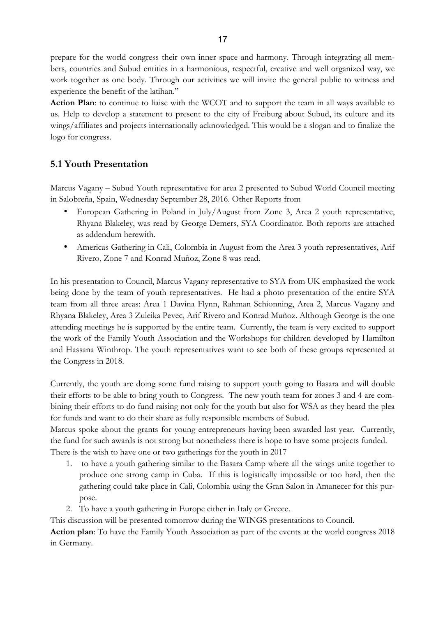prepare for the world congress their own inner space and harmony. Through integrating all members, countries and Subud entities in a harmonious, respectful, creative and well organized way, we work together as one body. Through our activities we will invite the general public to witness and experience the benefit of the latihan."

**Action Plan**: to continue to liaise with the WCOT and to support the team in all ways available to us. Help to develop a statement to present to the city of Freiburg about Subud, its culture and its wings/affiliates and projects internationally acknowledged. This would be a slogan and to finalize the logo for congress.

# **5.1 Youth Presentation**

Marcus Vagany – Subud Youth representative for area 2 presented to Subud World Council meeting in Salobreña, Spain, Wednesday September 28, 2016. Other Reports from

- European Gathering in Poland in July/August from Zone 3, Area 2 youth representative, Rhyana Blakeley, was read by George Demers, SYA Coordinator. Both reports are attached as addendum herewith.
- Americas Gathering in Cali, Colombia in August from the Area 3 youth representatives, Arif Rivero, Zone 7 and Konrad Muñoz, Zone 8 was read.

In his presentation to Council, Marcus Vagany representative to SYA from UK emphasized the work being done by the team of youth representatives. He had a photo presentation of the entire SYA team from all three areas: Area 1 Davina Flynn, Rahman Schionning, Area 2, Marcus Vagany and Rhyana Blakeley, Area 3 Zuleika Pevec, Arif Rivero and Konrad Muñoz. Although George is the one attending meetings he is supported by the entire team. Currently, the team is very excited to support the work of the Family Youth Association and the Workshops for children developed by Hamilton and Hassana Winthrop. The youth representatives want to see both of these groups represented at the Congress in 2018.

Currently, the youth are doing some fund raising to support youth going to Basara and will double their efforts to be able to bring youth to Congress. The new youth team for zones 3 and 4 are combining their efforts to do fund raising not only for the youth but also for WSA as they heard the plea for funds and want to do their share as fully responsible members of Subud.

Marcus spoke about the grants for young entrepreneurs having been awarded last year. Currently, the fund for such awards is not strong but nonetheless there is hope to have some projects funded. There is the wish to have one or two gatherings for the youth in 2017

- 1. to have a youth gathering similar to the Basara Camp where all the wings unite together to produce one strong camp in Cuba. If this is logistically impossible or too hard, then the gathering could take place in Cali, Colombia using the Gran Salon in Amanecer for this purpose.
- 2. To have a youth gathering in Europe either in Italy or Greece.

This discussion will be presented tomorrow during the WINGS presentations to Council.

**Action plan**: To have the Family Youth Association as part of the events at the world congress 2018 in Germany.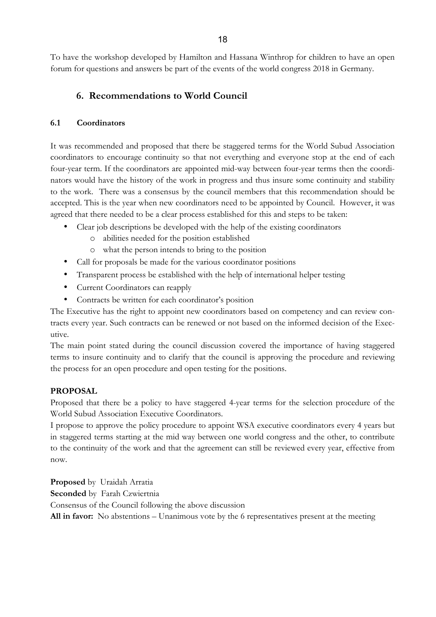To have the workshop developed by Hamilton and Hassana Winthrop for children to have an open forum for questions and answers be part of the events of the world congress 2018 in Germany.

# **6. Recommendations to World Council**

# **6.1 Coordinators**

It was recommended and proposed that there be staggered terms for the World Subud Association coordinators to encourage continuity so that not everything and everyone stop at the end of each four-year term. If the coordinators are appointed mid-way between four-year terms then the coordinators would have the history of the work in progress and thus insure some continuity and stability to the work. There was a consensus by the council members that this recommendation should be accepted. This is the year when new coordinators need to be appointed by Council. However, it was agreed that there needed to be a clear process established for this and steps to be taken:

- Clear job descriptions be developed with the help of the existing coordinators
	- o abilities needed for the position established
	- o what the person intends to bring to the position
- Call for proposals be made for the various coordinator positions
- Transparent process be established with the help of international helper testing
- Current Coordinators can reapply
- Contracts be written for each coordinator's position

The Executive has the right to appoint new coordinators based on competency and can review contracts every year. Such contracts can be renewed or not based on the informed decision of the Executive.

The main point stated during the council discussion covered the importance of having staggered terms to insure continuity and to clarify that the council is approving the procedure and reviewing the process for an open procedure and open testing for the positions.

# **PROPOSAL**

Proposed that there be a policy to have staggered 4-year terms for the selection procedure of the World Subud Association Executive Coordinators.

I propose to approve the policy procedure to appoint WSA executive coordinators every 4 years but in staggered terms starting at the mid way between one world congress and the other, to contribute to the continuity of the work and that the agreement can still be reviewed every year, effective from now.

**Proposed** by Uraidah Arratia **Seconded** by Farah Czwiertnia Consensus of the Council following the above discussion **All in favor:** No abstentions – Unanimous vote by the 6 representatives present at the meeting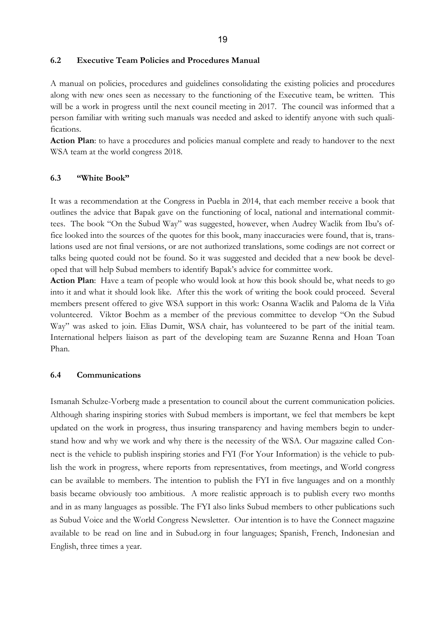#### **6.2 Executive Team Policies and Procedures Manual**

A manual on policies, procedures and guidelines consolidating the existing policies and procedures along with new ones seen as necessary to the functioning of the Executive team, be written. This will be a work in progress until the next council meeting in 2017. The council was informed that a person familiar with writing such manuals was needed and asked to identify anyone with such qualifications.

**Action Plan**: to have a procedures and policies manual complete and ready to handover to the next WSA team at the world congress 2018.

## **6.3 "White Book"**

It was a recommendation at the Congress in Puebla in 2014, that each member receive a book that outlines the advice that Bapak gave on the functioning of local, national and international committees. The book "On the Subud Way" was suggested, however, when Audrey Waclik from Ibu's office looked into the sources of the quotes for this book, many inaccuracies were found, that is, translations used are not final versions, or are not authorized translations, some codings are not correct or talks being quoted could not be found. So it was suggested and decided that a new book be developed that will help Subud members to identify Bapak's advice for committee work.

**Action Plan**: Have a team of people who would look at how this book should be, what needs to go into it and what it should look like. After this the work of writing the book could proceed. Several members present offered to give WSA support in this work: Osanna Waclik and Paloma de la Viña volunteered. Viktor Boehm as a member of the previous committee to develop "On the Subud Way" was asked to join. Elias Dumit, WSA chair, has volunteered to be part of the initial team. International helpers liaison as part of the developing team are Suzanne Renna and Hoan Toan Phan.

#### **6.4 Communications**

Ismanah Schulze-Vorberg made a presentation to council about the current communication policies. Although sharing inspiring stories with Subud members is important, we feel that members be kept updated on the work in progress, thus insuring transparency and having members begin to understand how and why we work and why there is the necessity of the WSA. Our magazine called Connect is the vehicle to publish inspiring stories and FYI (For Your Information) is the vehicle to publish the work in progress, where reports from representatives, from meetings, and World congress can be available to members. The intention to publish the FYI in five languages and on a monthly basis became obviously too ambitious. A more realistic approach is to publish every two months and in as many languages as possible. The FYI also links Subud members to other publications such as Subud Voice and the World Congress Newsletter. Our intention is to have the Connect magazine available to be read on line and in Subud.org in four languages; Spanish, French, Indonesian and English, three times a year.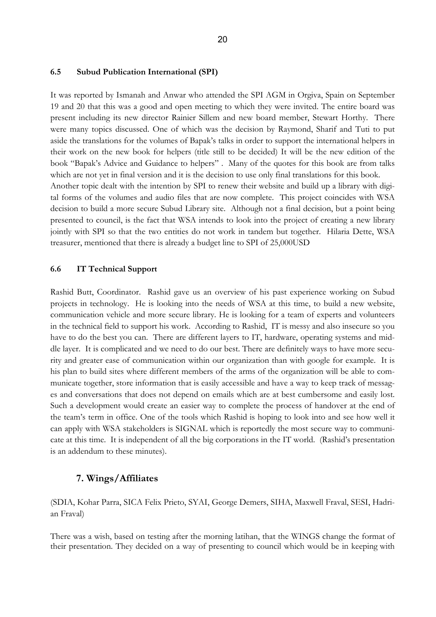#### **6.5 Subud Publication International (SPI)**

It was reported by Ismanah and Anwar who attended the SPI AGM in Orgiva, Spain on September 19 and 20 that this was a good and open meeting to which they were invited. The entire board was present including its new director Rainier Sillem and new board member, Stewart Horthy. There were many topics discussed. One of which was the decision by Raymond, Sharif and Tuti to put aside the translations for the volumes of Bapak's talks in order to support the international helpers in their work on the new book for helpers (title still to be decided) It will be the new edition of the book "Bapak's Advice and Guidance to helpers" . Many of the quotes for this book are from talks which are not yet in final version and it is the decision to use only final translations for this book. Another topic dealt with the intention by SPI to renew their website and build up a library with digital forms of the volumes and audio files that are now complete. This project coincides with WSA decision to build a more secure Subud Library site. Although not a final decision, but a point being presented to council, is the fact that WSA intends to look into the project of creating a new library jointly with SPI so that the two entities do not work in tandem but together. Hilaria Dette, WSA treasurer, mentioned that there is already a budget line to SPI of 25,000USD

#### **6.6 IT Technical Support**

Rashid Butt, Coordinator. Rashid gave us an overview of his past experience working on Subud projects in technology. He is looking into the needs of WSA at this time, to build a new website, communication vehicle and more secure library. He is looking for a team of experts and volunteers in the technical field to support his work. According to Rashid, IT is messy and also insecure so you have to do the best you can. There are different layers to IT, hardware, operating systems and middle layer. It is complicated and we need to do our best. There are definitely ways to have more security and greater ease of communication within our organization than with google for example. It is his plan to build sites where different members of the arms of the organization will be able to communicate together, store information that is easily accessible and have a way to keep track of messages and conversations that does not depend on emails which are at best cumbersome and easily lost. Such a development would create an easier way to complete the process of handover at the end of the team's term in office. One of the tools which Rashid is hoping to look into and see how well it can apply with WSA stakeholders is SIGNAL which is reportedly the most secure way to communicate at this time. It is independent of all the big corporations in the IT world. (Rashid's presentation is an addendum to these minutes).

#### **7. Wings/Affiliates**

(SDIA, Kohar Parra, SICA Felix Prieto, SYAI, George Demers, SIHA, Maxwell Fraval, SESI, Hadrian Fraval)

There was a wish, based on testing after the morning latihan, that the WINGS change the format of their presentation. They decided on a way of presenting to council which would be in keeping with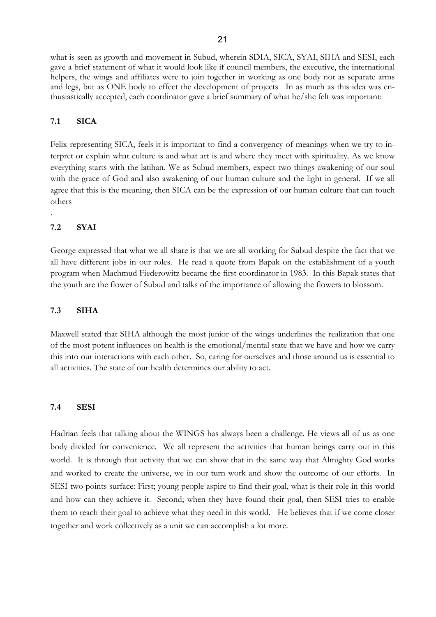what is seen as growth and movement in Subud, wherein SDIA, SICA, SYAI, SIHA and SESI, each gave a brief statement of what it would look like if council members, the executive, the international helpers, the wings and affiliates were to join together in working as one body not as separate arms and legs, but as ONE body to effect the development of projects. In as much as this idea was enthusiastically accepted, each coordinator gave a brief summary of what he/she felt was important:

#### **7.1 SICA**

Felix representing SICA, feels it is important to find a convergency of meanings when we try to interpret or explain what culture is and what art is and where they meet with spirituality. As we know everything starts with the latihan. We as Subud members, expect two things awakening of our soul with the grace of God and also awakening of our human culture and the light in general. If we all agree that this is the meaning, then SICA can be the expression of our human culture that can touch others

#### **7.2 SYAI**

.

George expressed that what we all share is that we are all working for Subud despite the fact that we all have different jobs in our roles. He read a quote from Bapak on the establishment of a youth program when Machmud Fiederowitz became the first coordinator in 1983. In this Bapak states that the youth are the flower of Subud and talks of the importance of allowing the flowers to blossom.

#### **7.3 SIHA**

Maxwell stated that SIHA although the most junior of the wings underlines the realization that one of the most potent influences on health is the emotional/mental state that we have and how we carry this into our interactions with each other. So, caring for ourselves and those around us is essential to all activities. The state of our health determines our ability to act.

#### **7.4 SESI**

Hadrian feels that talking about the WINGS has always been a challenge. He views all of us as one body divided for convenience. We all represent the activities that human beings carry out in this world. It is through that activity that we can show that in the same way that Almighty God works and worked to create the universe, we in our turn work and show the outcome of our efforts. In SESI two points surface: First; young people aspire to find their goal, what is their role in this world and how can they achieve it. Second; when they have found their goal, then SESI tries to enable them to reach their goal to achieve what they need in this world. He believes that if we come closer together and work collectively as a unit we can accomplish a lot more.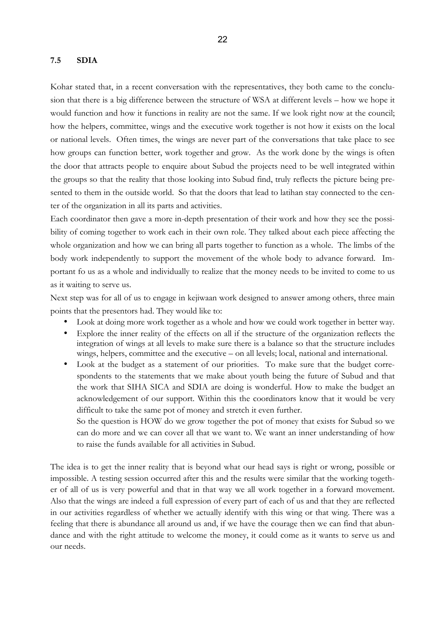#### **7.5 SDIA**

Kohar stated that, in a recent conversation with the representatives, they both came to the conclusion that there is a big difference between the structure of WSA at different levels – how we hope it would function and how it functions in reality are not the same. If we look right now at the council; how the helpers, committee, wings and the executive work together is not how it exists on the local or national levels. Often times, the wings are never part of the conversations that take place to see how groups can function better, work together and grow. As the work done by the wings is often the door that attracts people to enquire about Subud the projects need to be well integrated within the groups so that the reality that those looking into Subud find, truly reflects the picture being presented to them in the outside world. So that the doors that lead to latihan stay connected to the center of the organization in all its parts and activities.

Each coordinator then gave a more in-depth presentation of their work and how they see the possibility of coming together to work each in their own role. They talked about each piece affecting the whole organization and how we can bring all parts together to function as a whole. The limbs of the body work independently to support the movement of the whole body to advance forward. Important fo us as a whole and individually to realize that the money needs to be invited to come to us as it waiting to serve us.

Next step was for all of us to engage in kejiwaan work designed to answer among others, three main points that the presentors had. They would like to:

- Look at doing more work together as a whole and how we could work together in better way.
- Explore the inner reality of the effects on all if the structure of the organization reflects the integration of wings at all levels to make sure there is a balance so that the structure includes wings, helpers, committee and the executive – on all levels; local, national and international.
- Look at the budget as a statement of our priorities. To make sure that the budget correspondents to the statements that we make about youth being the future of Subud and that the work that SIHA SICA and SDIA are doing is wonderful. How to make the budget an acknowledgement of our support. Within this the coordinators know that it would be very difficult to take the same pot of money and stretch it even further.

So the question is HOW do we grow together the pot of money that exists for Subud so we can do more and we can cover all that we want to. We want an inner understanding of how to raise the funds available for all activities in Subud.

The idea is to get the inner reality that is beyond what our head says is right or wrong, possible or impossible. A testing session occurred after this and the results were similar that the working together of all of us is very powerful and that in that way we all work together in a forward movement. Also that the wings are indeed a full expression of every part of each of us and that they are reflected in our activities regardless of whether we actually identify with this wing or that wing. There was a feeling that there is abundance all around us and, if we have the courage then we can find that abundance and with the right attitude to welcome the money, it could come as it wants to serve us and our needs.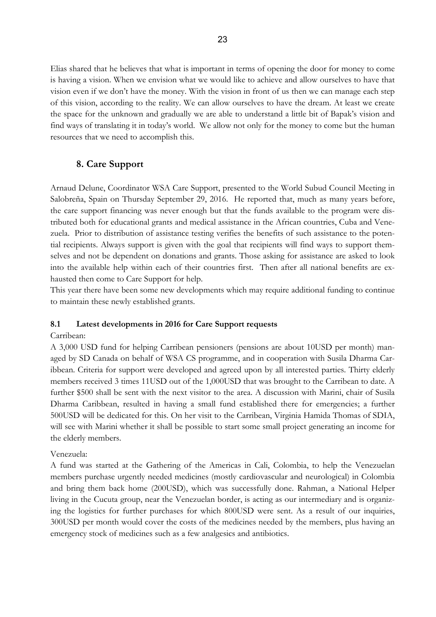Elias shared that he believes that what is important in terms of opening the door for money to come is having a vision. When we envision what we would like to achieve and allow ourselves to have that vision even if we don't have the money. With the vision in front of us then we can manage each step of this vision, according to the reality. We can allow ourselves to have the dream. At least we create the space for the unknown and gradually we are able to understand a little bit of Bapak's vision and find ways of translating it in today's world. We allow not only for the money to come but the human resources that we need to accomplish this.

# **8. Care Support**

Arnaud Delune, Coordinator WSA Care Support, presented to the World Subud Council Meeting in Salobreña, Spain on Thursday September 29, 2016. He reported that, much as many years before, the care support financing was never enough but that the funds available to the program were distributed both for educational grants and medical assistance in the African countries, Cuba and Venezuela. Prior to distribution of assistance testing verifies the benefits of such assistance to the potential recipients. Always support is given with the goal that recipients will find ways to support themselves and not be dependent on donations and grants. Those asking for assistance are asked to look into the available help within each of their countries first. Then after all national benefits are exhausted then come to Care Support for help.

This year there have been some new developments which may require additional funding to continue to maintain these newly established grants.

# **8.1 Latest developments in 2016 for Care Support requests**

## Carribean:

A 3,000 USD fund for helping Carribean pensioners (pensions are about 10USD per month) managed by SD Canada on behalf of WSA CS programme, and in cooperation with Susila Dharma Caribbean. Criteria for support were developed and agreed upon by all interested parties. Thirty elderly members received 3 times 11USD out of the 1,000USD that was brought to the Carribean to date. A further \$500 shall be sent with the next visitor to the area. A discussion with Marini, chair of Susila Dharma Caribbean, resulted in having a small fund established there for emergencies; a further 500USD will be dedicated for this. On her visit to the Carribean, Virginia Hamida Thomas of SDIA, will see with Marini whether it shall be possible to start some small project generating an income for the elderly members.

# Venezuela:

A fund was started at the Gathering of the Americas in Cali, Colombia, to help the Venezuelan members purchase urgently needed medicines (mostly cardiovascular and neurological) in Colombia and bring them back home (200USD), which was successfully done. Rahman, a National Helper living in the Cucuta group, near the Venezuelan border, is acting as our intermediary and is organizing the logistics for further purchases for which 800USD were sent. As a result of our inquiries, 300USD per month would cover the costs of the medicines needed by the members, plus having an emergency stock of medicines such as a few analgesics and antibiotics.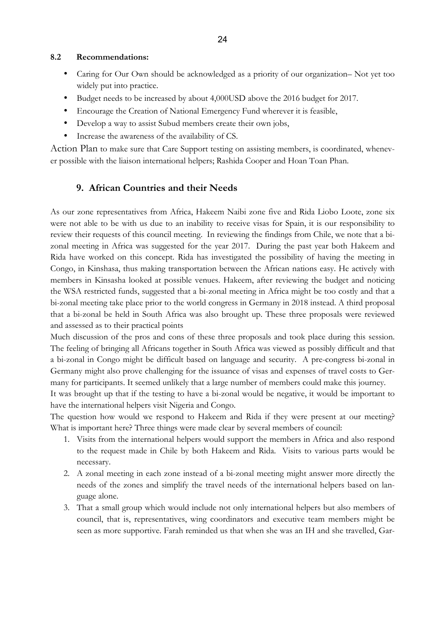#### **8.2 Recommendations:**

- Caring for Our Own should be acknowledged as a priority of our organization– Not yet too widely put into practice.
- Budget needs to be increased by about 4,000USD above the 2016 budget for 2017.
- Encourage the Creation of National Emergency Fund wherever it is feasible,
- Develop a way to assist Subud members create their own jobs,
- Increase the awareness of the availability of CS.

Action Plan to make sure that Care Support testing on assisting members, is coordinated, whenever possible with the liaison international helpers; Rashida Cooper and Hoan Toan Phan.

# **9. African Countries and their Needs**

As our zone representatives from Africa, Hakeem Naibi zone five and Rida Liobo Loote, zone six were not able to be with us due to an inability to receive visas for Spain, it is our responsibility to review their requests of this council meeting. In reviewing the findings from Chile, we note that a bizonal meeting in Africa was suggested for the year 2017. During the past year both Hakeem and Rida have worked on this concept. Rida has investigated the possibility of having the meeting in Congo, in Kinshasa, thus making transportation between the African nations easy. He actively with members in Kinsasha looked at possible venues. Hakeem, after reviewing the budget and noticing the WSA restricted funds, suggested that a bi-zonal meeting in Africa might be too costly and that a bi-zonal meeting take place prior to the world congress in Germany in 2018 instead. A third proposal that a bi-zonal be held in South Africa was also brought up. These three proposals were reviewed and assessed as to their practical points

Much discussion of the pros and cons of these three proposals and took place during this session. The feeling of bringing all Africans together in South Africa was viewed as possibly difficult and that a bi-zonal in Congo might be difficult based on language and security. A pre-congress bi-zonal in Germany might also prove challenging for the issuance of visas and expenses of travel costs to Germany for participants. It seemed unlikely that a large number of members could make this journey.

It was brought up that if the testing to have a bi-zonal would be negative, it would be important to have the international helpers visit Nigeria and Congo.

The question how would we respond to Hakeem and Rida if they were present at our meeting? What is important here? Three things were made clear by several members of council:

- 1. Visits from the international helpers would support the members in Africa and also respond to the request made in Chile by both Hakeem and Rida. Visits to various parts would be necessary.
- 2. A zonal meeting in each zone instead of a bi-zonal meeting might answer more directly the needs of the zones and simplify the travel needs of the international helpers based on language alone.
- 3. That a small group which would include not only international helpers but also members of council, that is, representatives, wing coordinators and executive team members might be seen as more supportive. Farah reminded us that when she was an IH and she travelled, Gar-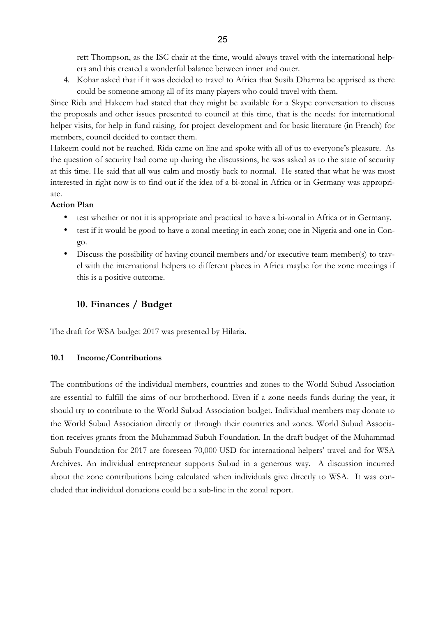rett Thompson, as the ISC chair at the time, would always travel with the international helpers and this created a wonderful balance between inner and outer.

4. Kohar asked that if it was decided to travel to Africa that Susila Dharma be apprised as there could be someone among all of its many players who could travel with them.

Since Rida and Hakeem had stated that they might be available for a Skype conversation to discuss the proposals and other issues presented to council at this time, that is the needs: for international helper visits, for help in fund raising, for project development and for basic literature (in French) for members, council decided to contact them.

Hakeem could not be reached. Rida came on line and spoke with all of us to everyone's pleasure. As the question of security had come up during the discussions, he was asked as to the state of security at this time. He said that all was calm and mostly back to normal. He stated that what he was most interested in right now is to find out if the idea of a bi-zonal in Africa or in Germany was appropriate.

## **Action Plan**

- test whether or not it is appropriate and practical to have a bi-zonal in Africa or in Germany.
- test if it would be good to have a zonal meeting in each zone; one in Nigeria and one in Congo.
- Discuss the possibility of having council members and/or executive team member(s) to travel with the international helpers to different places in Africa maybe for the zone meetings if this is a positive outcome.

# **10. Finances / Budget**

The draft for WSA budget 2017 was presented by Hilaria.

# **10.1 Income/Contributions**

The contributions of the individual members, countries and zones to the World Subud Association are essential to fulfill the aims of our brotherhood. Even if a zone needs funds during the year, it should try to contribute to the World Subud Association budget. Individual members may donate to the World Subud Association directly or through their countries and zones. World Subud Association receives grants from the Muhammad Subuh Foundation. In the draft budget of the Muhammad Subuh Foundation for 2017 are foreseen 70,000 USD for international helpers' travel and for WSA Archives. An individual entrepreneur supports Subud in a generous way. A discussion incurred about the zone contributions being calculated when individuals give directly to WSA. It was concluded that individual donations could be a sub-line in the zonal report.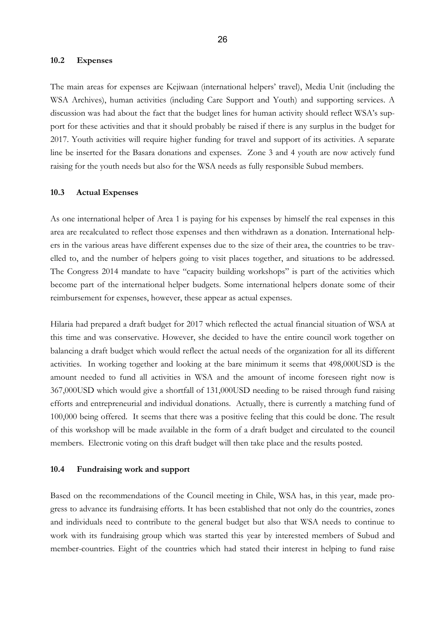#### **10.2 Expenses**

The main areas for expenses are Kejiwaan (international helpers' travel), Media Unit (including the WSA Archives), human activities (including Care Support and Youth) and supporting services. A discussion was had about the fact that the budget lines for human activity should reflect WSA's support for these activities and that it should probably be raised if there is any surplus in the budget for 2017. Youth activities will require higher funding for travel and support of its activities. A separate line be inserted for the Basara donations and expenses. Zone 3 and 4 youth are now actively fund raising for the youth needs but also for the WSA needs as fully responsible Subud members.

#### **10.3 Actual Expenses**

As one international helper of Area 1 is paying for his expenses by himself the real expenses in this area are recalculated to reflect those expenses and then withdrawn as a donation. International helpers in the various areas have different expenses due to the size of their area, the countries to be travelled to, and the number of helpers going to visit places together, and situations to be addressed. The Congress 2014 mandate to have "capacity building workshops" is part of the activities which become part of the international helper budgets. Some international helpers donate some of their reimbursement for expenses, however, these appear as actual expenses.

Hilaria had prepared a draft budget for 2017 which reflected the actual financial situation of WSA at this time and was conservative. However, she decided to have the entire council work together on balancing a draft budget which would reflect the actual needs of the organization for all its different activities. In working together and looking at the bare minimum it seems that 498,000USD is the amount needed to fund all activities in WSA and the amount of income foreseen right now is 367,000USD which would give a shortfall of 131,000USD needing to be raised through fund raising efforts and entrepreneurial and individual donations. Actually, there is currently a matching fund of 100,000 being offered. It seems that there was a positive feeling that this could be done. The result of this workshop will be made available in the form of a draft budget and circulated to the council members. Electronic voting on this draft budget will then take place and the results posted.

#### **10.4 Fundraising work and support**

Based on the recommendations of the Council meeting in Chile, WSA has, in this year, made progress to advance its fundraising efforts. It has been established that not only do the countries, zones and individuals need to contribute to the general budget but also that WSA needs to continue to work with its fundraising group which was started this year by interested members of Subud and member-countries. Eight of the countries which had stated their interest in helping to fund raise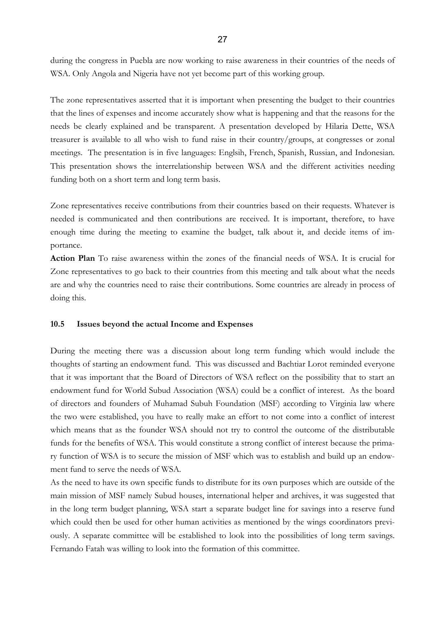during the congress in Puebla are now working to raise awareness in their countries of the needs of WSA. Only Angola and Nigeria have not yet become part of this working group.

The zone representatives asserted that it is important when presenting the budget to their countries that the lines of expenses and income accurately show what is happening and that the reasons for the needs be clearly explained and be transparent. A presentation developed by Hilaria Dette, WSA treasurer is available to all who wish to fund raise in their country/groups, at congresses or zonal meetings. The presentation is in five languages: Englsih, French, Spanish, Russian, and Indonesian. This presentation shows the interrelationship between WSA and the different activities needing funding both on a short term and long term basis.

Zone representatives receive contributions from their countries based on their requests. Whatever is needed is communicated and then contributions are received. It is important, therefore, to have enough time during the meeting to examine the budget, talk about it, and decide items of importance.

**Action Plan** To raise awareness within the zones of the financial needs of WSA. It is crucial for Zone representatives to go back to their countries from this meeting and talk about what the needs are and why the countries need to raise their contributions. Some countries are already in process of doing this.

#### **10.5 Issues beyond the actual Income and Expenses**

During the meeting there was a discussion about long term funding which would include the thoughts of starting an endowment fund. This was discussed and Bachtiar Lorot reminded everyone that it was important that the Board of Directors of WSA reflect on the possibility that to start an endowment fund for World Subud Association (WSA) could be a conflict of interest. As the board of directors and founders of Muhamad Subuh Foundation (MSF) according to Virginia law where the two were established, you have to really make an effort to not come into a conflict of interest which means that as the founder WSA should not try to control the outcome of the distributable funds for the benefits of WSA. This would constitute a strong conflict of interest because the primary function of WSA is to secure the mission of MSF which was to establish and build up an endowment fund to serve the needs of WSA.

As the need to have its own specific funds to distribute for its own purposes which are outside of the main mission of MSF namely Subud houses, international helper and archives, it was suggested that in the long term budget planning, WSA start a separate budget line for savings into a reserve fund which could then be used for other human activities as mentioned by the wings coordinators previously. A separate committee will be established to look into the possibilities of long term savings. Fernando Fatah was willing to look into the formation of this committee.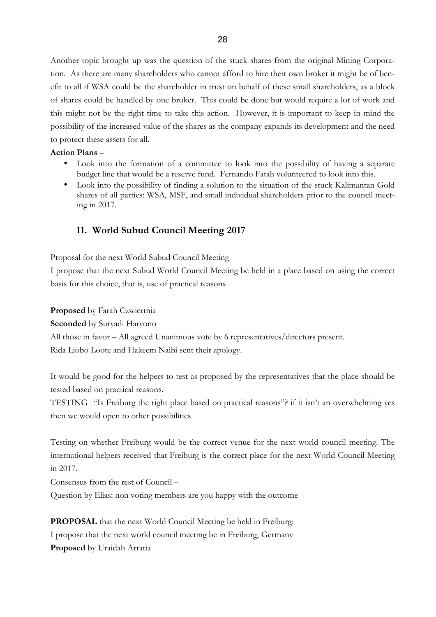Another topic brought up was the question of the stuck shares from the original Mining Corporation. As there are many shareholders who cannot afford to hire their own broker it might be of benefit to all if WSA could be the shareholder in trust on behalf of these small shareholders, as a block of shares could be handled by one broker. This could be done but would require a lot of work and this might not be the right time to take this action. However, it is important to keep in mind the possibility of the increased value of the shares as the company expands its development and the need to protect these assets for all.

## **Action Plans** –

- Look into the formation of a committee to look into the possibility of having a separate budget line that would be a reserve fund. Fernando Fatah volunteered to look into this.
- Look into the possibility of finding a solution to the situation of the stuck Kalimantan Gold shares of all parties: WSA, MSF, and small individual shareholders prior to the council meeting in 2017.

# **11. World Subud Council Meeting 2017**

Proposal for the next World Subud Council Meeting

I propose that the next Subud World Council Meeting be held in a place based on using the correct basis for this choice, that is, use of practical reasons

**Proposed** by Farah Czwiertnia

**Seconded** by Suryadi Haryono

All those in favor – All agreed Unanimous vote by 6 representatives/directors present.

Rida Liobo Loote and Hakeem Naibi sent their apology.

It would be good for the helpers to test as proposed by the representatives that the place should be tested based on practical reasons.

TESTING "Is Freiburg the right place based on practical reasons"? if it isn't an overwhelming yes then we would open to other possibilities

Testing on whether Freiburg would be the correct venue for the next world council meeting. The international helpers received that Freiburg is the correct place for the next World Council Meeting in 2017.

Consensus from the rest of Council –

Question by Elias: non voting members are you happy with the outcome

**PROPOSAL** that the next World Council Meeting be held in Freiburg: I propose that the next world council meeting be in Freiburg, Germany **Proposed** by Uraidah Arratia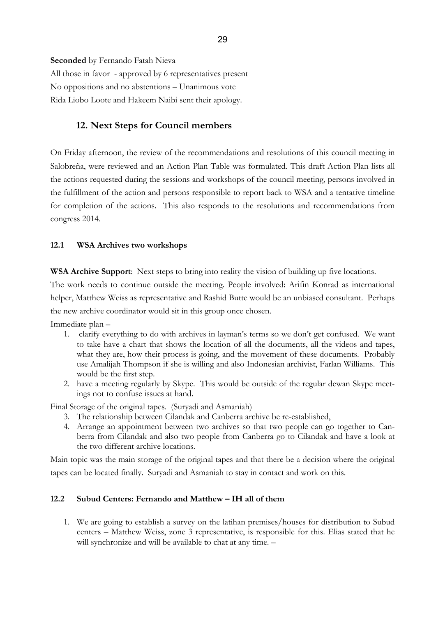**Seconded** by Fernando Fatah Nieva All those in favor - approved by 6 representatives present No oppositions and no abstentions – Unanimous vote Rida Liobo Loote and Hakeem Naibi sent their apology.

# **12. Next Steps for Council members**

On Friday afternoon, the review of the recommendations and resolutions of this council meeting in Salobreña, were reviewed and an Action Plan Table was formulated. This draft Action Plan lists all the actions requested during the sessions and workshops of the council meeting, persons involved in the fulfillment of the action and persons responsible to report back to WSA and a tentative timeline for completion of the actions. This also responds to the resolutions and recommendations from congress 2014.

## **12.1 WSA Archives two workshops**

**WSA Archive Support**: Next steps to bring into reality the vision of building up five locations.

The work needs to continue outside the meeting. People involved: Arifin Konrad as international helper, Matthew Weiss as representative and Rashid Butte would be an unbiased consultant. Perhaps the new archive coordinator would sit in this group once chosen.

Immediate plan –

- 1. clarify everything to do with archives in layman's terms so we don't get confused. We want to take have a chart that shows the location of all the documents, all the videos and tapes, what they are, how their process is going, and the movement of these documents. Probably use Amalijah Thompson if she is willing and also Indonesian archivist, Farlan Williams. This would be the first step.
- 2. have a meeting regularly by Skype. This would be outside of the regular dewan Skype meetings not to confuse issues at hand.

Final Storage of the original tapes. (Suryadi and Asmaniah)

- 3. The relationship between Cilandak and Canberra archive be re-established,
- 4. Arrange an appointment between two archives so that two people can go together to Canberra from Cilandak and also two people from Canberra go to Cilandak and have a look at the two different archive locations.

Main topic was the main storage of the original tapes and that there be a decision where the original tapes can be located finally. Suryadi and Asmaniah to stay in contact and work on this.

## **12.2 Subud Centers: Fernando and Matthew – IH all of them**

1. We are going to establish a survey on the latihan premises/houses for distribution to Subud centers – Matthew Weiss, zone 3 representative, is responsible for this. Elias stated that he will synchronize and will be available to chat at any time. -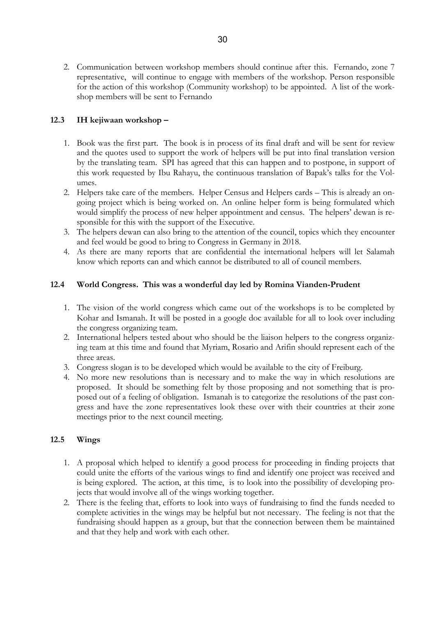2. Communication between workshop members should continue after this. Fernando, zone 7 representative, will continue to engage with members of the workshop. Person responsible for the action of this workshop (Community workshop) to be appointed. A list of the workshop members will be sent to Fernando

# **12.3 IH kejiwaan workshop –**

- 1. Book was the first part. The book is in process of its final draft and will be sent for review and the quotes used to support the work of helpers will be put into final translation version by the translating team. SPI has agreed that this can happen and to postpone, in support of this work requested by Ibu Rahayu, the continuous translation of Bapak's talks for the Volumes.
- 2. Helpers take care of the members. Helper Census and Helpers cards This is already an ongoing project which is being worked on. An online helper form is being formulated which would simplify the process of new helper appointment and census. The helpers' dewan is responsible for this with the support of the Executive.
- 3. The helpers dewan can also bring to the attention of the council, topics which they encounter and feel would be good to bring to Congress in Germany in 2018.
- 4. As there are many reports that are confidential the international helpers will let Salamah know which reports can and which cannot be distributed to all of council members.

## **12.4 World Congress. This was a wonderful day led by Romina Vianden-Prudent**

- 1. The vision of the world congress which came out of the workshops is to be completed by Kohar and Ismanah. It will be posted in a google doc available for all to look over including the congress organizing team.
- 2. International helpers tested about who should be the liaison helpers to the congress organizing team at this time and found that Myriam, Rosario and Arifin should represent each of the three areas.
- 3. Congress slogan is to be developed which would be available to the city of Freiburg.
- 4. No more new resolutions than is necessary and to make the way in which resolutions are proposed. It should be something felt by those proposing and not something that is proposed out of a feeling of obligation. Ismanah is to categorize the resolutions of the past congress and have the zone representatives look these over with their countries at their zone meetings prior to the next council meeting.

# **12.5 Wings**

- 1. A proposal which helped to identify a good process for proceeding in finding projects that could unite the efforts of the various wings to find and identify one project was received and is being explored. The action, at this time, is to look into the possibility of developing projects that would involve all of the wings working together.
- 2. There is the feeling that, efforts to look into ways of fundraising to find the funds needed to complete activities in the wings may be helpful but not necessary. The feeling is not that the fundraising should happen as a group, but that the connection between them be maintained and that they help and work with each other.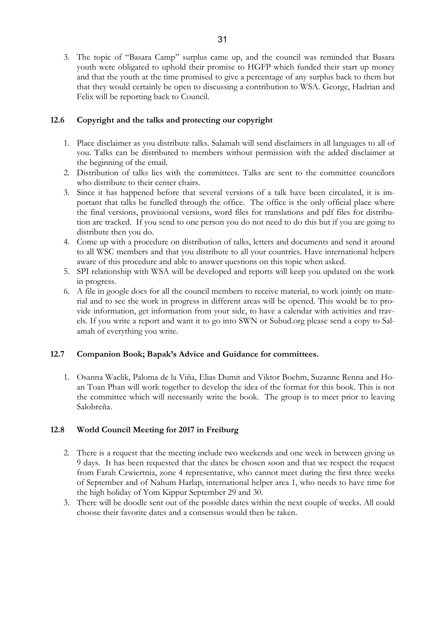3. The topic of "Basara Camp" surplus came up, and the council was reminded that Basara youth were obligated to uphold their promise to HGFP which funded their start up money and that the youth at the time promised to give a percentage of any surplus back to them but that they would certainly be open to discussing a contribution to WSA. George, Hadrian and Felix will be reporting back to Council.

## **12.6 Copyright and the talks and protecting our copyright**

- 1. Place disclaimer as you distribute talks. Salamah will send disclaimers in all languages to all of you. Talks can be distributed to members without permission with the added disclaimer at the beginning of the email.
- 2. Distribution of talks lies with the committees. Talks are sent to the committee councilors who distribute to their center chairs.
- 3. Since it has happened before that several versions of a talk have been circulated, it is important that talks be funelled through the office. The office is the only official place where the final versions, provisional versions, word files for translations and pdf files for distribution are tracked. If you send to one person you do not need to do this but if you are going to distribute then you do.
- 4. Come up with a procedure on distribution of talks, letters and documents and send it around to all WSC members and that you distribute to all your countries. Have international helpers aware of this procedure and able to answer questions on this topic when asked.
- 5. SPI relationship with WSA will be developed and reports will keep you updated on the work in progress.
- 6. A file in google docs for all the council members to receive material, to work jointly on material and to see the work in progress in different areas will be opened. This would be to provide information, get information from your side, to have a calendar with activities and travels. If you write a report and want it to go into SWN or Subud.org please send a copy to Salamah of everything you write.

# **12.7 Companion Book; Bapak's Advice and Guidance for committees.**

1. Osanna Waclik, Paloma de la Viña, Elias Dumit and Viktor Boehm, Suzanne Renna and Hoan Toan Phan will work together to develop the idea of the format for this book. This is not the committee which will necessarily write the book. The group is to meet prior to leaving Salobreña.

## **12.8 World Council Meeting for 2017 in Freiburg**

- 2. There is a request that the meeting include two weekends and one week in between giving us 9 days. It has been requested that the dates be chosen soon and that we respect the request from Farah Czwiertnia, zone 4 representative, who cannot meet during the first three weeks of September and of Nahum Harlap, international helper area 1, who needs to have time for the high holiday of Yom Kippur September 29 and 30.
- 3. There will be doodle sent out of the possible dates within the next couple of weeks. All could choose their favorite dates and a consensus would then be taken.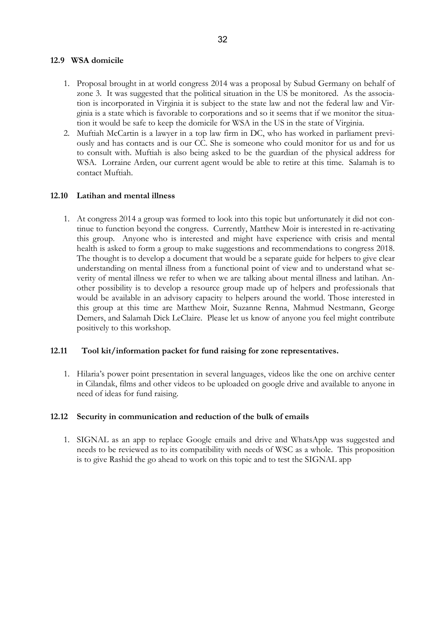### **12.9 WSA domicile**

- 1. Proposal brought in at world congress 2014 was a proposal by Subud Germany on behalf of zone 3. It was suggested that the political situation in the US be monitored. As the association is incorporated in Virginia it is subject to the state law and not the federal law and Virginia is a state which is favorable to corporations and so it seems that if we monitor the situation it would be safe to keep the domicile for WSA in the US in the state of Virginia.
- 2. Muftiah McCartin is a lawyer in a top law firm in DC, who has worked in parliament previously and has contacts and is our CC. She is someone who could monitor for us and for us to consult with. Muftiah is also being asked to be the guardian of the physical address for WSA. Lorraine Arden, our current agent would be able to retire at this time. Salamah is to contact Muftiah.

## **12.10 Latihan and mental illness**

1. At congress 2014 a group was formed to look into this topic but unfortunately it did not continue to function beyond the congress. Currently, Matthew Moir is interested in re-activating this group. Anyone who is interested and might have experience with crisis and mental health is asked to form a group to make suggestions and recommendations to congress 2018. The thought is to develop a document that would be a separate guide for helpers to give clear understanding on mental illness from a functional point of view and to understand what severity of mental illness we refer to when we are talking about mental illness and latihan. Another possibility is to develop a resource group made up of helpers and professionals that would be available in an advisory capacity to helpers around the world. Those interested in this group at this time are Matthew Moir, Suzanne Renna, Mahmud Nestmann, George Demers, and Salamah Dick LeClaire. Please let us know of anyone you feel might contribute positively to this workshop.

#### **12.11 Tool kit/information packet for fund raising for zone representatives.**

1. Hilaria's power point presentation in several languages, videos like the one on archive center in Cilandak, films and other videos to be uploaded on google drive and available to anyone in need of ideas for fund raising.

#### **12.12 Security in communication and reduction of the bulk of emails**

1. SIGNAL as an app to replace Google emails and drive and WhatsApp was suggested and needs to be reviewed as to its compatibility with needs of WSC as a whole. This proposition is to give Rashid the go ahead to work on this topic and to test the SIGNAL app